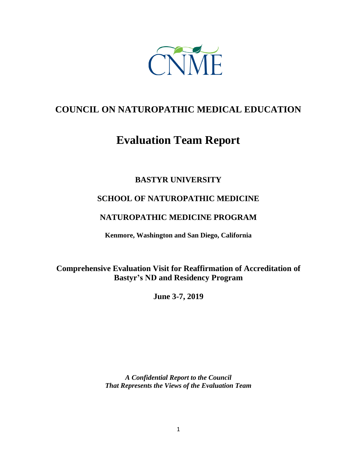

# **COUNCIL ON NATUROPATHIC MEDICAL EDUCATION**

# **Evaluation Team Report**

# **BASTYR UNIVERSITY**

# **SCHOOL OF NATUROPATHIC MEDICINE**

# **NATUROPATHIC MEDICINE PROGRAM**

**Kenmore, Washington and San Diego, California**

**Comprehensive Evaluation Visit for Reaffirmation of Accreditation of Bastyr's ND and Residency Program**

**June 3-7, 2019**

*A Confidential Report to the Council That Represents the Views of the Evaluation Team*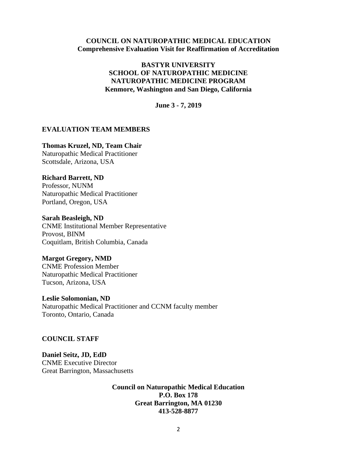#### **COUNCIL ON NATUROPATHIC MEDICAL EDUCATION Comprehensive Evaluation Visit for Reaffirmation of Accreditation**

#### **BASTYR UNIVERSITY SCHOOL OF NATUROPATHIC MEDICINE NATUROPATHIC MEDICINE PROGRAM Kenmore, Washington and San Diego, California**

**June 3 - 7, 2019**

#### **EVALUATION TEAM MEMBERS**

#### **Thomas Kruzel, ND, Team Chair**

Naturopathic Medical Practitioner Scottsdale, Arizona, USA

#### **Richard Barrett, ND**

Professor, NUNM Naturopathic Medical Practitioner Portland, Oregon, USA

**Sarah Beasleigh, ND** CNME Institutional Member Representative Provost, BINM Coquitlam, British Columbia, Canada

#### **Margot Gregory, NMD**

CNME Profession Member Naturopathic Medical Practitioner Tucson, Arizona, USA

**Leslie Solomonian, ND** Naturopathic Medical Practitioner and CCNM faculty member Toronto, Ontario, Canada

#### **COUNCIL STAFF**

**Daniel Seitz, JD, EdD** CNME Executive Director Great Barrington, Massachusetts

> **Council on Naturopathic Medical Education P.O. Box 178 Great Barrington, MA 01230 413-528-8877**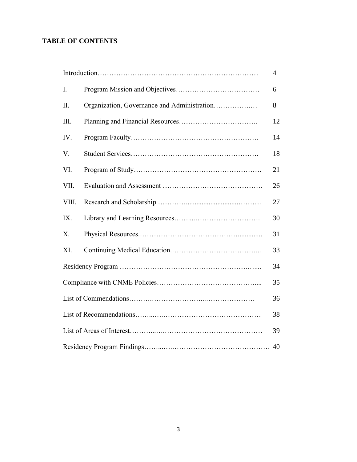# **TABLE OF CONTENTS**

|                |                                             | $\overline{4}$ |
|----------------|---------------------------------------------|----------------|
| $\mathbf{I}$ . |                                             | 6              |
| II.            | Organization, Governance and Administration | 8              |
| III.           |                                             | 12             |
| IV.            |                                             | 14             |
| V.             |                                             | 18             |
| VI.            |                                             | 21             |
| VII.           |                                             | 26             |
| VIII.          |                                             | 27             |
| IX.            |                                             | 30             |
| X.             |                                             | 31             |
| XI.            |                                             | 33             |
|                |                                             | 34             |
|                |                                             | 35             |
|                |                                             | 36             |
|                |                                             | 38             |
|                |                                             | 39             |
|                |                                             |                |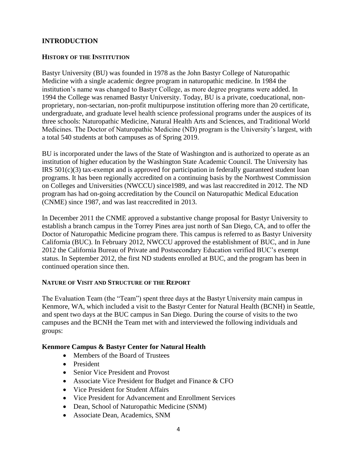# **INTRODUCTION**

#### **HISTORY OF THE INSTITUTION**

Bastyr University (BU) was founded in 1978 as the John Bastyr College of Naturopathic Medicine with a single academic degree program in naturopathic medicine. In 1984 the institution's name was changed to Bastyr College, as more degree programs were added. In 1994 the College was renamed Bastyr University. Today, BU is a private, coeducational, nonproprietary, non-sectarian, non-profit multipurpose institution offering more than 20 certificate, undergraduate, and graduate level health science professional programs under the auspices of its three schools: Naturopathic Medicine, Natural Health Arts and Sciences, and Traditional World Medicines. The Doctor of Naturopathic Medicine (ND) program is the University's largest, with a total 540 students at both campuses as of Spring 2019.

BU is incorporated under the laws of the State of Washington and is authorized to operate as an institution of higher education by the Washington State Academic Council. The University has IRS 501(c)(3) tax-exempt and is approved for participation in federally guaranteed student loan programs. It has been regionally accredited on a continuing basis by the Northwest Commission on Colleges and Universities (NWCCU) since1989, and was last reaccredited in 2012. The ND program has had on-going accreditation by the Council on Naturopathic Medical Education (CNME) since 1987, and was last reaccredited in 2013.

In December 2011 the CNME approved a substantive change proposal for Bastyr University to establish a branch campus in the Torrey Pines area just north of San Diego, CA, and to offer the Doctor of Naturopathic Medicine program there. This campus is referred to as Bastyr University California (BUC). In February 2012, NWCCU approved the establishment of BUC, and in June 2012 the California Bureau of Private and Postsecondary Education verified BUC's exempt status. In September 2012, the first ND students enrolled at BUC, and the program has been in continued operation since then.

#### **NATURE OF VISIT AND STRUCTURE OF THE REPORT**

The Evaluation Team (the "Team") spent three days at the Bastyr University main campus in Kenmore, WA, which included a visit to the Bastyr Center for Natural Health (BCNH) in Seattle, and spent two days at the BUC campus in San Diego. During the course of visits to the two campuses and the BCNH the Team met with and interviewed the following individuals and groups:

# **Kenmore Campus & Bastyr Center for Natural Health**

- Members of the Board of Trustees
- President
- Senior Vice President and Provost
- Associate Vice President for Budget and Finance & CFO
- Vice President for Student Affairs
- Vice President for Advancement and Enrollment Services
- Dean, School of Naturopathic Medicine (SNM)
- Associate Dean, Academics, SNM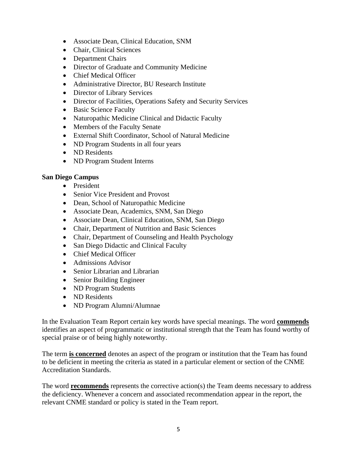- Associate Dean, Clinical Education, SNM
- Chair, Clinical Sciences
- Department Chairs
- Director of Graduate and Community Medicine
- Chief Medical Officer
- Administrative Director, BU Research Institute
- Director of Library Services
- Director of Facilities, Operations Safety and Security Services
- Basic Science Faculty
- Naturopathic Medicine Clinical and Didactic Faculty
- Members of the Faculty Senate
- External Shift Coordinator, School of Natural Medicine
- ND Program Students in all four years
- ND Residents
- ND Program Student Interns

#### **San Diego Campus**

- President
- Senior Vice President and Provost
- Dean, School of Naturopathic Medicine
- Associate Dean, Academics, SNM, San Diego
- Associate Dean, Clinical Education, SNM, San Diego
- Chair, Department of Nutrition and Basic Sciences
- Chair, Department of Counseling and Health Psychology
- San Diego Didactic and Clinical Faculty
- Chief Medical Officer
- Admissions Advisor
- Senior Librarian and Librarian
- Senior Building Engineer
- ND Program Students
- ND Residents
- ND Program Alumni/Alumnae

In the Evaluation Team Report certain key words have special meanings. The word **commends** identifies an aspect of programmatic or institutional strength that the Team has found worthy of special praise or of being highly noteworthy.

The term **is concerned** denotes an aspect of the program or institution that the Team has found to be deficient in meeting the criteria as stated in a particular element or section of the CNME Accreditation Standards.

The word **recommends** represents the corrective action(s) the Team deems necessary to address the deficiency. Whenever a concern and associated recommendation appear in the report, the relevant CNME standard or policy is stated in the Team report.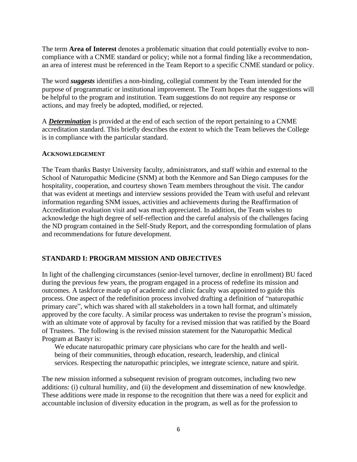The term **Area of Interest** denotes a problematic situation that could potentially evolve to noncompliance with a CNME standard or policy; while not a formal finding like a recommendation, an area of interest must be referenced in the Team Report to a specific CNME standard or policy.

The word *suggests* identifies a non-binding, collegial comment by the Team intended for the purpose of programmatic or institutional improvement. The Team hopes that the suggestions will be helpful to the program and institution. Team suggestions do not require any response or actions, and may freely be adopted, modified, or rejected.

A *Determination* is provided at the end of each section of the report pertaining to a CNME accreditation standard. This briefly describes the extent to which the Team believes the College is in compliance with the particular standard.

#### **ACKNOWLEDGEMENT**

The Team thanks Bastyr University faculty, administrators, and staff within and external to the School of Naturopathic Medicine (SNM) at both the Kenmore and San Diego campuses for the hospitality, cooperation, and courtesy shown Team members throughout the visit. The candor that was evident at meetings and interview sessions provided the Team with useful and relevant information regarding SNM issues, activities and achievements during the Reaffirmation of Accreditation evaluation visit and was much appreciated. In addition, the Team wishes to acknowledge the high degree of self-reflection and the careful analysis of the challenges facing the ND program contained in the Self-Study Report, and the corresponding formulation of plans and recommendations for future development.

#### **STANDARD I: PROGRAM MISSION AND OBJECTIVES**

In light of the challenging circumstances (senior-level turnover, decline in enrollment) BU faced during the previous few years, the program engaged in a process of redefine its mission and outcomes. A taskforce made up of academic and clinic faculty was appointed to guide this process. One aspect of the redefinition process involved drafting a definition of "naturopathic primary care", which was shared with all stakeholders in a town hall format, and ultimately approved by the core faculty. A similar process was undertaken to revise the program's mission, with an ultimate vote of approval by faculty for a revised mission that was ratified by the Board of Trustees. The following is the revised mission statement for the Naturopathic Medical Program at Bastyr is:

We educate naturopathic primary care physicians who care for the health and wellbeing of their communities, through education, research, leadership, and clinical services. Respecting the naturopathic principles, we integrate science, nature and spirit.

The new mission informed a subsequent revision of program outcomes, including two new additions: (i) cultural humility, and (ii) the development and dissemination of new knowledge. These additions were made in response to the recognition that there was a need for explicit and accountable inclusion of diversity education in the program, as well as for the profession to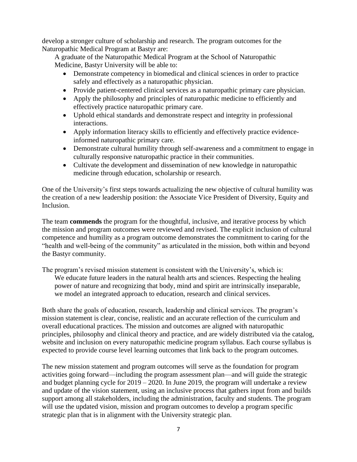develop a stronger culture of scholarship and research. The program outcomes for the Naturopathic Medical Program at Bastyr are:

A graduate of the Naturopathic Medical Program at the School of Naturopathic Medicine, Bastyr University will be able to:

- Demonstrate competency in biomedical and clinical sciences in order to practice safely and effectively as a naturopathic physician.
- Provide patient-centered clinical services as a naturopathic primary care physician.
- Apply the philosophy and principles of naturopathic medicine to efficiently and effectively practice naturopathic primary care.
- Uphold ethical standards and demonstrate respect and integrity in professional interactions.
- Apply information literacy skills to efficiently and effectively practice evidenceinformed naturopathic primary care.
- Demonstrate cultural humility through self-awareness and a commitment to engage in culturally responsive naturopathic practice in their communities.
- Cultivate the development and dissemination of new knowledge in naturopathic medicine through education, scholarship or research.

One of the University's first steps towards actualizing the new objective of cultural humility was the creation of a new leadership position: the Associate Vice President of Diversity, Equity and Inclusion.

The team **commends** the program for the thoughtful, inclusive, and iterative process by which the mission and program outcomes were reviewed and revised. The explicit inclusion of cultural competence and humility as a program outcome demonstrates the commitment to caring for the "health and well-being of the community" as articulated in the mission, both within and beyond the Bastyr community.

The program's revised mission statement is consistent with the University's, which is: We educate future leaders in the natural health arts and sciences. Respecting the healing power of nature and recognizing that body, mind and spirit are intrinsically inseparable, we model an integrated approach to education, research and clinical services.

Both share the goals of education, research, leadership and clinical services. The program's mission statement is clear, concise, realistic and an accurate reflection of the curriculum and overall educational practices. The mission and outcomes are aligned with naturopathic principles, philosophy and clinical theory and practice, and are widely distributed via the catalog, website and inclusion on every naturopathic medicine program syllabus. Each course syllabus is expected to provide course level learning outcomes that link back to the program outcomes.

The new mission statement and program outcomes will serve as the foundation for program activities going forward—including the program assessment plan—and will guide the strategic and budget planning cycle for 2019 – 2020. In June 2019, the program will undertake a review and update of the vision statement, using an inclusive process that gathers input from and builds support among all stakeholders, including the administration, faculty and students. The program will use the updated vision, mission and program outcomes to develop a program specific strategic plan that is in alignment with the University strategic plan.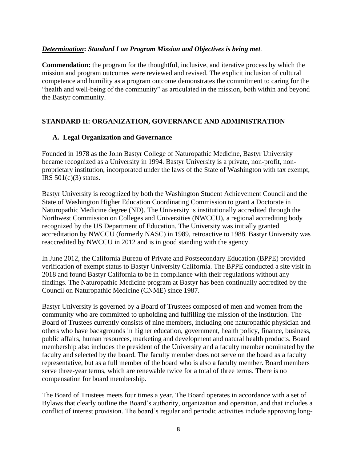#### *Determination***:** *Standard I on Program Mission and Objectives is being met.*

**Commendation:** the program for the thoughtful, inclusive, and iterative process by which the mission and program outcomes were reviewed and revised. The explicit inclusion of cultural competence and humility as a program outcome demonstrates the commitment to caring for the "health and well-being of the community" as articulated in the mission, both within and beyond the Bastyr community.

# **STANDARD II: ORGANIZATION, GOVERNANCE AND ADMINISTRATION**

#### **A. Legal Organization and Governance**

Founded in 1978 as the John Bastyr College of Naturopathic Medicine, Bastyr University became recognized as a University in 1994. Bastyr University is a private, non-profit, nonproprietary institution, incorporated under the laws of the State of Washington with tax exempt, IRS  $501(c)(3)$  status.

Bastyr University is recognized by both the Washington Student Achievement Council and the State of Washington Higher Education Coordinating Commission to grant a Doctorate in Naturopathic Medicine degree (ND). The University is institutionally accredited through the Northwest Commission on Colleges and Universities (NWCCU), a regional accrediting body recognized by the US Department of Education. The University was initially granted accreditation by NWCCU (formerly NASC) in 1989, retroactive to 1988. Bastyr University was reaccredited by NWCCU in 2012 and is in good standing with the agency.

In June 2012, the California Bureau of Private and Postsecondary Education (BPPE) provided verification of exempt status to Bastyr University California. The BPPE conducted a site visit in 2018 and found Bastyr California to be in compliance with their regulations without any findings. The Naturopathic Medicine program at Bastyr has been continually accredited by the Council on Naturopathic Medicine (CNME) since 1987.

Bastyr University is governed by a Board of Trustees composed of men and women from the community who are committed to upholding and fulfilling the mission of the institution. The Board of Trustees currently consists of nine members, including one naturopathic physician and others who have backgrounds in higher education, government, health policy, finance, business, public affairs, human resources, marketing and development and natural health products. Board membership also includes the president of the University and a faculty member nominated by the faculty and selected by the board. The faculty member does not serve on the board as a faculty representative, but as a full member of the board who is also a faculty member. Board members serve three-year terms, which are renewable twice for a total of three terms. There is no compensation for board membership.

The Board of Trustees meets four times a year. The Board operates in accordance with a set of Bylaws that clearly outline the Board's authority, organization and operation, and that includes a conflict of interest provision. The board's regular and periodic activities include approving long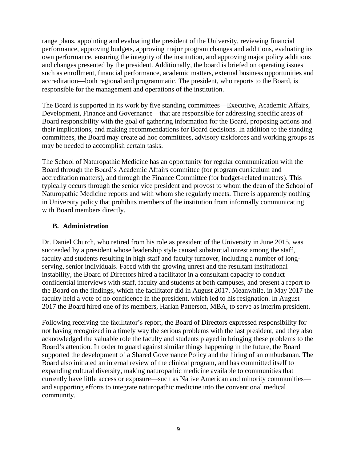range plans, appointing and evaluating the president of the University, reviewing financial performance, approving budgets, approving major program changes and additions, evaluating its own performance, ensuring the integrity of the institution, and approving major policy additions and changes presented by the president. Additionally, the board is briefed on operating issues such as enrollment, financial performance, academic matters, external business opportunities and accreditation—both regional and programmatic. The president, who reports to the Board, is responsible for the management and operations of the institution.

The Board is supported in its work by five standing committees—Executive, Academic Affairs, Development, Finance and Governance—that are responsible for addressing specific areas of Board responsibility with the goal of gathering information for the Board, proposing actions and their implications, and making recommendations for Board decisions. In addition to the standing committees, the Board may create ad hoc committees, advisory taskforces and working groups as may be needed to accomplish certain tasks.

The School of Naturopathic Medicine has an opportunity for regular communication with the Board through the Board's Academic Affairs committee (for program curriculum and accreditation matters), and through the Finance Committee (for budget-related matters). This typically occurs through the senior vice president and provost to whom the dean of the School of Naturopathic Medicine reports and with whom she regularly meets. There is apparently nothing in University policy that prohibits members of the institution from informally communicating with Board members directly.

#### **B. Administration**

Dr. Daniel Church, who retired from his role as president of the University in June 2015, was succeeded by a president whose leadership style caused substantial unrest among the staff, faculty and students resulting in high staff and faculty turnover, including a number of longserving, senior individuals. Faced with the growing unrest and the resultant institutional instability, the Board of Directors hired a facilitator in a consultant capacity to conduct confidential interviews with staff, faculty and students at both campuses, and present a report to the Board on the findings, which the facilitator did in August 2017. Meanwhile, in May 2017 the faculty held a vote of no confidence in the president, which led to his resignation. In August 2017 the Board hired one of its members, Harlan Patterson, MBA, to serve as interim president.

Following receiving the facilitator's report, the Board of Directors expressed responsibility for not having recognized in a timely way the serious problems with the last president, and they also acknowledged the valuable role the faculty and students played in bringing these problems to the Board's attention. In order to guard against similar things happening in the future, the Board supported the development of a Shared Governance Policy and the hiring of an ombudsman. The Board also initiated an internal review of the clinical program, and has committed itself to expanding cultural diversity, making naturopathic medicine available to communities that currently have little access or exposure—such as Native American and minority communities and supporting efforts to integrate naturopathic medicine into the conventional medical community.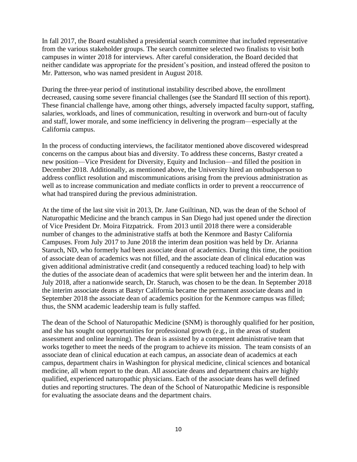In fall 2017, the Board established a presidential search committee that included representative from the various stakeholder groups. The search committee selected two finalists to visit both campuses in winter 2018 for interviews. After careful consideration, the Board decided that neither candidate was appropriate for the president's position, and instead offered the positon to Mr. Patterson, who was named president in August 2018.

During the three-year period of institutional instability described above, the enrollment decreased, causing some severe financial challenges (see the Standard III section of this report). These financial challenge have, among other things, adversely impacted faculty support, staffing, salaries, workloads, and lines of communication, resulting in overwork and burn-out of faculty and staff, lower morale, and some inefficiency in delivering the program—especially at the California campus.

In the process of conducting interviews, the facilitator mentioned above discovered widespread concerns on the campus about bias and diversity. To address these concerns, Bastyr created a new position—Vice President for Diversity, Equity and Inclusion—and filled the position in December 2018. Additionally, as mentioned above, the University hired an ombudsperson to address conflict resolution and miscommunications arising from the previous administration as well as to increase communication and mediate conflicts in order to prevent a reoccurrence of what had transpired during the previous administration.

At the time of the last site visit in 2013, Dr. Jane Guiltinan, ND, was the dean of the School of Naturopathic Medicine and the branch campus in San Diego had just opened under the direction of Vice President Dr. Moira Fitzpatrick. From 2013 until 2018 there were a considerable number of changes to the administrative staffs at both the Kenmore and Bastyr California Campuses. From July 2017 to June 2018 the interim dean position was held by Dr. Arianna Staruch, ND, who formerly had been associate dean of academics. During this time, the position of associate dean of academics was not filled, and the associate dean of clinical education was given additional administrative credit (and consequently a reduced teaching load) to help with the duties of the associate dean of academics that were split between her and the interim dean. In July 2018, after a nationwide search, Dr. Staruch, was chosen to be the dean. In September 2018 the interim associate deans at Bastyr California became the permanent associate deans and in September 2018 the associate dean of academics position for the Kenmore campus was filled; thus, the SNM academic leadership team is fully staffed.

The dean of the School of Naturopathic Medicine (SNM) is thoroughly qualified for her position, and she has sought out opportunities for professional growth (e.g., in the areas of student assessment and online learning). The dean is assisted by a competent administrative team that works together to meet the needs of the program to achieve its mission. The team consists of an associate dean of clinical education at each campus, an associate dean of academics at each campus, department chairs in Washington for physical medicine, clinical sciences and botanical medicine, all whom report to the dean. All associate deans and department chairs are highly qualified, experienced naturopathic physicians. Each of the associate deans has well defined duties and reporting structures. The dean of the School of Naturopathic Medicine is responsible for evaluating the associate deans and the department chairs.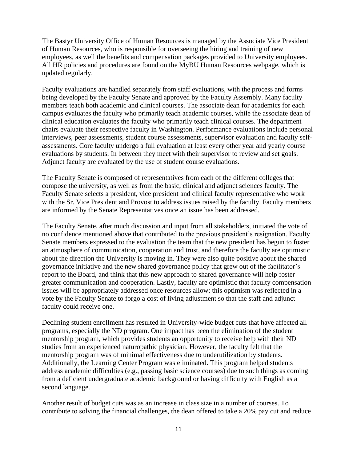The Bastyr University Office of Human Resources is managed by the Associate Vice President of Human Resources, who is responsible for overseeing the hiring and training of new employees, as well the benefits and compensation packages provided to University employees. All HR policies and procedures are found on the MyBU Human Resources webpage, which is updated regularly.

Faculty evaluations are handled separately from staff evaluations, with the process and forms being developed by the Faculty Senate and approved by the Faculty Assembly. Many faculty members teach both academic and clinical courses. The associate dean for academics for each campus evaluates the faculty who primarily teach academic courses, while the associate dean of clinical education evaluates the faculty who primarily teach clinical courses. The department chairs evaluate their respective faculty in Washington. Performance evaluations include personal interviews, peer assessments, student course assessments, supervisor evaluation and faculty selfassessments. Core faculty undergo a full evaluation at least every other year and yearly course evaluations by students. In between they meet with their supervisor to review and set goals. Adjunct faculty are evaluated by the use of student course evaluations.

The Faculty Senate is composed of representatives from each of the different colleges that compose the university, as well as from the basic, clinical and adjunct sciences faculty. The Faculty Senate selects a president, vice president and clinical faculty representative who work with the Sr. Vice President and Provost to address issues raised by the faculty. Faculty members are informed by the Senate Representatives once an issue has been addressed.

The Faculty Senate, after much discussion and input from all stakeholders, initiated the vote of no confidence mentioned above that contributed to the previous president's resignation. Faculty Senate members expressed to the evaluation the team that the new president has begun to foster an atmosphere of communication, cooperation and trust, and therefore the faculty are optimistic about the direction the University is moving in. They were also quite positive about the shared governance initiative and the new shared governance policy that grew out of the facilitator's report to the Board, and think that this new approach to shared governance will help foster greater communication and cooperation. Lastly, faculty are optimistic that faculty compensation issues will be appropriately addressed once resources allow; this optimism was reflected in a vote by the Faculty Senate to forgo a cost of living adjustment so that the staff and adjunct faculty could receive one.

Declining student enrollment has resulted in University-wide budget cuts that have affected all programs, especially the ND program. One impact has been the elimination of the student mentorship program, which provides students an opportunity to receive help with their ND studies from an experienced naturopathic physician. However, the faculty felt that the mentorship program was of minimal effectiveness due to underutilization by students. Additionally, the Learning Center Program was eliminated. This program helped students address academic difficulties (e.g., passing basic science courses) due to such things as coming from a deficient undergraduate academic background or having difficulty with English as a second language.

Another result of budget cuts was as an increase in class size in a number of courses. To contribute to solving the financial challenges, the dean offered to take a 20% pay cut and reduce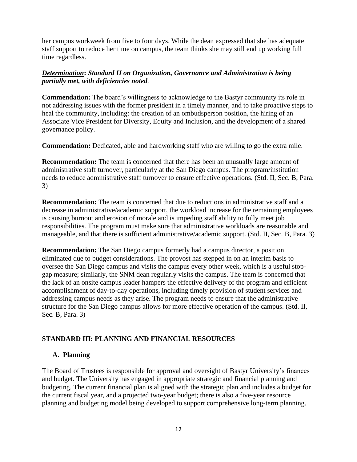her campus workweek from five to four days. While the dean expressed that she has adequate staff support to reduce her time on campus, the team thinks she may still end up working full time regardless.

# *Determination***:** *Standard II on Organization, Governance and Administration is being partially met, with deficiencies noted.*

**Commendation:** The board's willingness to acknowledge to the Bastyr community its role in not addressing issues with the former president in a timely manner, and to take proactive steps to heal the community, including: the creation of an ombudsperson position, the hiring of an Associate Vice President for Diversity, Equity and Inclusion, and the development of a shared governance policy.

**Commendation:** Dedicated, able and hardworking staff who are willing to go the extra mile.

**Recommendation:** The team is concerned that there has been an unusually large amount of administrative staff turnover, particularly at the San Diego campus. The program/institution needs to reduce administrative staff turnover to ensure effective operations. (Std. II, Sec. B, Para. 3)

**Recommendation:** The team is concerned that due to reductions in administrative staff and a decrease in administrative/academic support, the workload increase for the remaining employees is causing burnout and erosion of morale and is impeding staff ability to fully meet job responsibilities. The program must make sure that administrative workloads are reasonable and manageable, and that there is sufficient administrative/academic support. (Std. II, Sec. B, Para. 3)

**Recommendation:** The San Diego campus formerly had a campus director, a position eliminated due to budget considerations. The provost has stepped in on an interim basis to oversee the San Diego campus and visits the campus every other week, which is a useful stopgap measure; similarly, the SNM dean regularly visits the campus. The team is concerned that the lack of an onsite campus leader hampers the effective delivery of the program and efficient accomplishment of day-to-day operations, including timely provision of student services and addressing campus needs as they arise. The program needs to ensure that the administrative structure for the San Diego campus allows for more effective operation of the campus. (Std. II, Sec. B, Para. 3)

# **STANDARD III: PLANNING AND FINANCIAL RESOURCES**

# **A. Planning**

The Board of Trustees is responsible for approval and oversight of Bastyr University's finances and budget. The University has engaged in appropriate strategic and financial planning and budgeting. The current financial plan is aligned with the strategic plan and includes a budget for the current fiscal year, and a projected two-year budget; there is also a five-year resource planning and budgeting model being developed to support comprehensive long-term planning.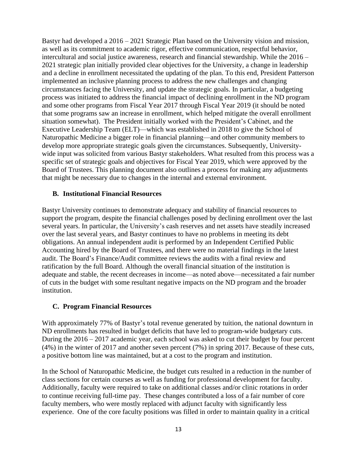Bastyr had developed a 2016 – 2021 Strategic Plan based on the University vision and mission, as well as its commitment to academic rigor, effective communication, respectful behavior, intercultural and social justice awareness, research and financial stewardship. While the 2016 – 2021 strategic plan initially provided clear objectives for the University, a change in leadership and a decline in enrollment necessitated the updating of the plan. To this end, President Patterson implemented an inclusive planning process to address the new challenges and changing circumstances facing the University, and update the strategic goals. In particular, a budgeting process was initiated to address the financial impact of declining enrollment in the ND program and some other programs from Fiscal Year 2017 through Fiscal Year 2019 (it should be noted that some programs saw an increase in enrollment, which helped mitigate the overall enrollment situation somewhat). The President initially worked with the President's Cabinet, and the Executive Leadership Team (ELT)—which was established in 2018 to give the School of Naturopathic Medicine a bigger role in financial planning—and other community members to develop more appropriate strategic goals given the circumstances. Subsequently, Universitywide input was solicited from various Bastyr stakeholders. What resulted from this process was a specific set of strategic goals and objectives for Fiscal Year 2019, which were approved by the Board of Trustees. This planning document also outlines a process for making any adjustments that might be necessary due to changes in the internal and external environment.

#### **B. Institutional Financial Resources**

Bastyr University continues to demonstrate adequacy and stability of financial resources to support the program, despite the financial challenges posed by declining enrollment over the last several years. In particular, the University's cash reserves and net assets have steadily increased over the last several years, and Bastyr continues to have no problems in meeting its debt obligations. An annual independent audit is performed by an Independent Certified Public Accounting hired by the Board of Trustees, and there were no material findings in the latest audit. The Board's Finance/Audit committee reviews the audits with a final review and ratification by the full Board. Although the overall financial situation of the institution is adequate and stable, the recent decreases in income—as noted above—necessitated a fair number of cuts in the budget with some resultant negative impacts on the ND program and the broader institution.

#### **C. Program Financial Resources**

With approximately 77% of Bastyr's total revenue generated by tuition, the national downturn in ND enrollments has resulted in budget deficits that have led to program-wide budgetary cuts. During the 2016 – 2017 academic year, each school was asked to cut their budget by four percent (4%) in the winter of 2017 and another seven percent (7%) in spring 2017. Because of these cuts, a positive bottom line was maintained, but at a cost to the program and institution.

In the School of Naturopathic Medicine, the budget cuts resulted in a reduction in the number of class sections for certain courses as well as funding for professional development for faculty. Additionally, faculty were required to take on additional classes and/or clinic rotations in order to continue receiving full-time pay. These changes contributed a loss of a fair number of core faculty members, who were mostly replaced with adjunct faculty with significantly less experience. One of the core faculty positions was filled in order to maintain quality in a critical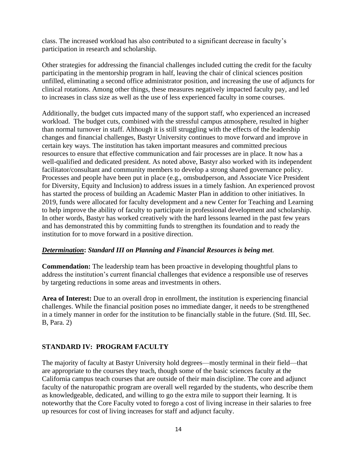class. The increased workload has also contributed to a significant decrease in faculty's participation in research and scholarship.

Other strategies for addressing the financial challenges included cutting the credit for the faculty participating in the mentorship program in half, leaving the chair of clinical sciences position unfilled, eliminating a second office administrator position, and increasing the use of adjuncts for clinical rotations. Among other things, these measures negatively impacted faculty pay, and led to increases in class size as well as the use of less experienced faculty in some courses.

Additionally, the budget cuts impacted many of the support staff, who experienced an increased workload. The budget cuts, combined with the stressful campus atmosphere, resulted in higher than normal turnover in staff. Although it is still struggling with the effects of the leadership changes and financial challenges, Bastyr University continues to move forward and improve in certain key ways. The institution has taken important measures and committed precious resources to ensure that effective communication and fair processes are in place. It now has a well-qualified and dedicated president. As noted above, Bastyr also worked with its independent facilitator/consultant and community members to develop a strong shared governance policy. Processes and people have been put in place (e.g., omsbudperson, and Associate Vice President for Diversity, Equity and Inclusion) to address issues in a timely fashion. An experienced provost has started the process of building an Academic Master Plan in addition to other initiatives. In 2019, funds were allocated for faculty development and a new Center for Teaching and Learning to help improve the ability of faculty to participate in professional development and scholarship. In other words, Bastyr has worked creatively with the hard lessons learned in the past few years and has demonstrated this by committing funds to strengthen its foundation and to ready the institution for to move forward in a positive direction.

#### *Determination***:** *Standard III on Planning and Financial Resources is being met.*

**Commendation:** The leadership team has been proactive in developing thoughtful plans to address the institution's current financial challenges that evidence a responsible use of reserves by targeting reductions in some areas and investments in others.

**Area of Interest:** Due to an overall drop in enrollment, the institution is experiencing financial challenges. While the financial position poses no immediate danger, it needs to be strengthened in a timely manner in order for the institution to be financially stable in the future. (Std. III, Sec. B, Para. 2)

# **STANDARD IV: PROGRAM FACULTY**

The majority of faculty at Bastyr University hold degrees—mostly terminal in their field—that are appropriate to the courses they teach, though some of the basic sciences faculty at the California campus teach courses that are outside of their main discipline. The core and adjunct faculty of the naturopathic program are overall well regarded by the students, who describe them as knowledgeable, dedicated, and willing to go the extra mile to support their learning. It is noteworthy that the Core Faculty voted to forego a cost of living increase in their salaries to free up resources for cost of living increases for staff and adjunct faculty.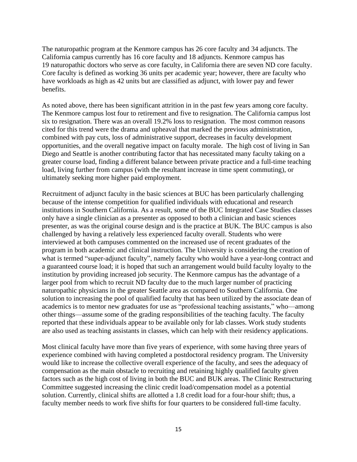The naturopathic program at the Kenmore campus has 26 core faculty and 34 adjuncts. The California campus currently has 16 core faculty and 18 adjuncts. Kenmore campus has 19 naturopathic doctors who serve as core faculty, in California there are seven ND core faculty. Core faculty is defined as working 36 units per academic year; however, there are faculty who have workloads as high as 42 units but are classified as adjunct, with lower pay and fewer benefits.

As noted above, there has been significant attrition in in the past few years among core faculty. The Kenmore campus lost four to retirement and five to resignation. The California campus lost six to resignation. There was an overall 19.2% loss to resignation. The most common reasons cited for this trend were the drama and upheaval that marked the previous administration, combined with pay cuts, loss of administrative support, decreases in faculty development opportunities, and the overall negative impact on faculty morale. The high cost of living in San Diego and Seattle is another contributing factor that has necessitated many faculty taking on a greater course load, finding a different balance between private practice and a full-time teaching load, living further from campus (with the resultant increase in time spent commuting), or ultimately seeking more higher paid employment.

Recruitment of adjunct faculty in the basic sciences at BUC has been particularly challenging because of the intense competition for qualified individuals with educational and research institutions in Southern California. As a result, some of the BUC Integrated Case Studies classes only have a single clinician as a presenter as opposed to both a clinician and basic sciences presenter, as was the original course design and is the practice at BUK. The BUC campus is also challenged by having a relatively less experienced faculty overall. Students who were interviewed at both campuses commented on the increased use of recent graduates of the program in both academic and clinical instruction. The University is considering the creation of what is termed "super-adjunct faculty", namely faculty who would have a year-long contract and a guaranteed course load; it is hoped that such an arrangement would build faculty loyalty to the institution by providing increased job security. The Kenmore campus has the advantage of a larger pool from which to recruit ND faculty due to the much larger number of practicing naturopathic physicians in the greater Seattle area as compared to Southern California. One solution to increasing the pool of qualified faculty that has been utilized by the associate dean of academics is to mentor new graduates for use as "professional teaching assistants," who—among other things—assume some of the grading responsibilities of the teaching faculty. The faculty reported that these individuals appear to be available only for lab classes. Work study students are also used as teaching assistants in classes, which can help with their residency applications.

Most clinical faculty have more than five years of experience, with some having three years of experience combined with having completed a postdoctoral residency program. The University would like to increase the collective overall experience of the faculty, and sees the adequacy of compensation as the main obstacle to recruiting and retaining highly qualified faculty given factors such as the high cost of living in both the BUC and BUK areas. The Clinic Restructuring Committee suggested increasing the clinic credit load/compensation model as a potential solution. Currently, clinical shifts are allotted a 1.8 credit load for a four-hour shift; thus, a faculty member needs to work five shifts for four quarters to be considered full-time faculty.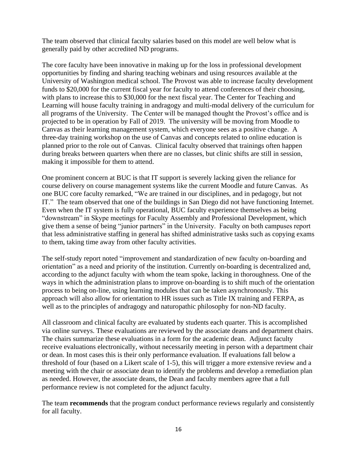The team observed that clinical faculty salaries based on this model are well below what is generally paid by other accredited ND programs.

The core faculty have been innovative in making up for the loss in professional development opportunities by finding and sharing teaching webinars and using resources available at the University of Washington medical school. The Provost was able to increase faculty development funds to \$20,000 for the current fiscal year for faculty to attend conferences of their choosing, with plans to increase this to \$30,000 for the next fiscal year. The Center for Teaching and Learning will house faculty training in andragogy and multi-modal delivery of the curriculum for all programs of the University. The Center will be managed thought the Provost's office and is projected to be in operation by Fall of 2019. The university will be moving from Moodle to Canvas as their learning management system, which everyone sees as a positive change. A three-day training workshop on the use of Canvas and concepts related to online education is planned prior to the role out of Canvas. Clinical faculty observed that trainings often happen during breaks between quarters when there are no classes, but clinic shifts are still in session, making it impossible for them to attend.

One prominent concern at BUC is that IT support is severely lacking given the reliance for course delivery on course management systems like the current Moodle and future Canvas. As one BUC core faculty remarked, "We are trained in our disciplines, and in pedagogy, but not IT." The team observed that one of the buildings in San Diego did not have functioning Internet. Even when the IT system is fully operational, BUC faculty experience themselves as being "downstream" in Skype meetings for Faculty Assembly and Professional Development, which give them a sense of being "junior partners" in the University. Faculty on both campuses report that less administrative staffing in general has shifted administrative tasks such as copying exams to them, taking time away from other faculty activities.

The self-study report noted "improvement and standardization of new faculty on-boarding and orientation" as a need and priority of the institution. Currently on-boarding is decentralized and, according to the adjunct faculty with whom the team spoke, lacking in thoroughness. One of the ways in which the administration plans to improve on-boarding is to shift much of the orientation process to being on-line, using learning modules that can be taken asynchronously. This approach will also allow for orientation to HR issues such as Title IX training and FERPA, as well as to the principles of andragogy and naturopathic philosophy for non-ND faculty.

All classroom and clinical faculty are evaluated by students each quarter. This is accomplished via online surveys. These evaluations are reviewed by the associate deans and department chairs. The chairs summarize these evaluations in a form for the academic dean. Adjunct faculty receive evaluations electronically, without necessarily meeting in person with a department chair or dean. In most cases this is their only performance evaluation. If evaluations fall below a threshold of four (based on a Likert scale of 1-5), this will trigger a more extensive review and a meeting with the chair or associate dean to identify the problems and develop a remediation plan as needed. However, the associate deans, the Dean and faculty members agree that a full performance review is not completed for the adjunct faculty.

The team **recommends** that the program conduct performance reviews regularly and consistently for all faculty.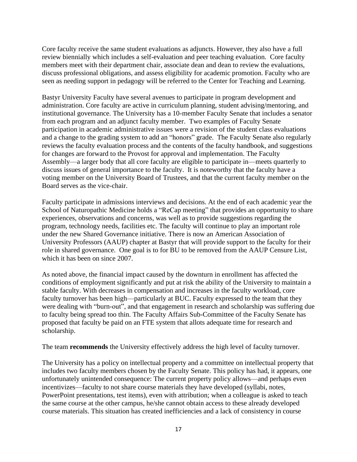Core faculty receive the same student evaluations as adjuncts. However, they also have a full review biennially which includes a self-evaluation and peer teaching evaluation. Core faculty members meet with their department chair, associate dean and dean to review the evaluations, discuss professional obligations, and assess eligibility for academic promotion. Faculty who are seen as needing support in pedagogy will be referred to the Center for Teaching and Learning.

Bastyr University Faculty have several avenues to participate in program development and administration. Core faculty are active in curriculum planning, student advising/mentoring, and institutional governance. The University has a 10-member Faculty Senate that includes a senator from each program and an adjunct faculty member. Two examples of Faculty Senate participation in academic administrative issues were a revision of the student class evaluations and a change to the grading system to add an "honors" grade. The Faculty Senate also regularly reviews the faculty evaluation process and the contents of the faculty handbook, and suggestions for changes are forward to the Provost for approval and implementation. The Faculty Assembly—a larger body that all core faculty are eligible to participate in—meets quarterly to discuss issues of general importance to the faculty. It is noteworthy that the faculty have a voting member on the University Board of Trustees, and that the current faculty member on the Board serves as the vice-chair.

Faculty participate in admissions interviews and decisions. At the end of each academic year the School of Naturopathic Medicine holds a "ReCap meeting" that provides an opportunity to share experiences, observations and concerns, was well as to provide suggestions regarding the program, technology needs, facilities etc. The faculty will continue to play an important role under the new Shared Governance initiative. There is now an American Association of University Professors (AAUP) chapter at Bastyr that will provide support to the faculty for their role in shared governance. One goal is to for BU to be removed from the AAUP Censure List, which it has been on since 2007.

As noted above, the financial impact caused by the downturn in enrollment has affected the conditions of employment significantly and put at risk the ability of the University to maintain a stable faculty. With decreases in compensation and increases in the faculty workload, core faculty turnover has been high—particularly at BUC. Faculty expressed to the team that they were dealing with "burn-out", and that engagement in research and scholarship was suffering due to faculty being spread too thin. The Faculty Affairs Sub-Committee of the Faculty Senate has proposed that faculty be paid on an FTE system that allots adequate time for research and scholarship.

The team **recommends** the University effectively address the high level of faculty turnover.

The University has a policy on intellectual property and a committee on intellectual property that includes two faculty members chosen by the Faculty Senate. This policy has had, it appears, one unfortunately unintended consequence: The current property policy allows—and perhaps even incentivizes—faculty to not share course materials they have developed (syllabi, notes, PowerPoint presentations, test items), even with attribution; when a colleague is asked to teach the same course at the other campus, he/she cannot obtain access to these already developed course materials. This situation has created inefficiencies and a lack of consistency in course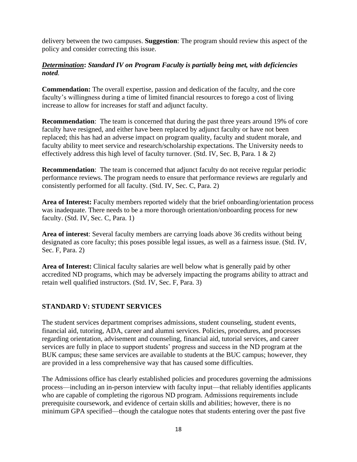delivery between the two campuses. **Suggestion**: The program should review this aspect of the policy and consider correcting this issue.

#### *Determination***:** *Standard IV on Program Faculty is partially being met, with deficiencies noted.*

**Commendation:** The overall expertise, passion and dedication of the faculty, and the core faculty's willingness during a time of limited financial resources to forego a cost of living increase to allow for increases for staff and adjunct faculty.

**Recommendation**: The team is concerned that during the past three years around 19% of core faculty have resigned, and either have been replaced by adjunct faculty or have not been replaced; this has had an adverse impact on program quality, faculty and student morale, and faculty ability to meet service and research/scholarship expectations. The University needs to effectively address this high level of faculty turnover. (Std. IV, Sec. B, Para. 1 & 2)

**Recommendation:** The team is concerned that adjunct faculty do not receive regular periodic performance reviews. The program needs to ensure that performance reviews are regularly and consistently performed for all faculty. (Std. IV, Sec. C, Para. 2)

Area of Interest: Faculty members reported widely that the brief onboarding/orientation process was inadequate. There needs to be a more thorough orientation/onboarding process for new faculty. (Std. IV, Sec. C, Para. 1)

**Area of interest**: Several faculty members are carrying loads above 36 credits without being designated as core faculty; this poses possible legal issues, as well as a fairness issue. (Std. IV, Sec. F, Para. 2)

**Area of Interest:** Clinical faculty salaries are well below what is generally paid by other accredited ND programs, which may be adversely impacting the programs ability to attract and retain well qualified instructors. (Std. IV, Sec. F, Para. 3)

# **STANDARD V: STUDENT SERVICES**

The student services department comprises admissions, student counseling, student events, financial aid, tutoring, ADA, career and alumni services. Policies, procedures, and processes regarding orientation, advisement and counseling, financial aid, tutorial services, and career services are fully in place to support students' progress and success in the ND program at the BUK campus; these same services are available to students at the BUC campus; however, they are provided in a less comprehensive way that has caused some difficulties.

The Admissions office has clearly established policies and procedures governing the admissions process—including an in-person interview with faculty input—that reliably identifies applicants who are capable of completing the rigorous ND program. Admissions requirements include prerequisite coursework, and evidence of certain skills and abilities; however, there is no minimum GPA specified—though the catalogue notes that students entering over the past five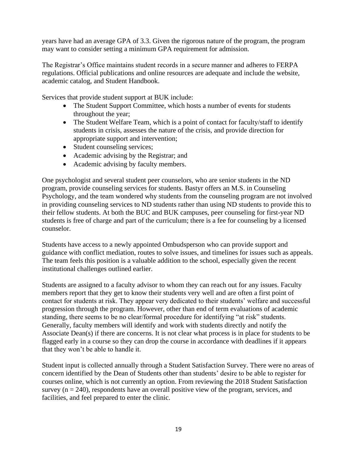years have had an average GPA of 3.3. Given the rigorous nature of the program, the program may want to consider setting a minimum GPA requirement for admission.

The Registrar's Office maintains student records in a secure manner and adheres to FERPA regulations. Official publications and online resources are adequate and include the website, academic catalog, and Student Handbook.

Services that provide student support at BUK include:

- The Student Support Committee, which hosts a number of events for students throughout the year;
- The Student Welfare Team, which is a point of contact for faculty/staff to identify students in crisis, assesses the nature of the crisis, and provide direction for appropriate support and intervention;
- Student counseling services;
- Academic advising by the Registrar; and
- Academic advising by faculty members.

One psychologist and several student peer counselors, who are senior students in the ND program, provide counseling services for students. Bastyr offers an M.S. in Counseling Psychology, and the team wondered why students from the counseling program are not involved in providing counseling services to ND students rather than using ND students to provide this to their fellow students. At both the BUC and BUK campuses, peer counseling for first-year ND students is free of charge and part of the curriculum; there is a fee for counseling by a licensed counselor.

Students have access to a newly appointed Ombudsperson who can provide support and guidance with conflict mediation, routes to solve issues, and timelines for issues such as appeals. The team feels this position is a valuable addition to the school, especially given the recent institutional challenges outlined earlier.

Students are assigned to a faculty advisor to whom they can reach out for any issues. Faculty members report that they get to know their students very well and are often a first point of contact for students at risk. They appear very dedicated to their students' welfare and successful progression through the program. However, other than end of term evaluations of academic standing, there seems to be no clear/formal procedure for identifying "at risk" students. Generally, faculty members will identify and work with students directly and notify the Associate Dean(s) if there are concerns. It is not clear what process is in place for students to be flagged early in a course so they can drop the course in accordance with deadlines if it appears that they won't be able to handle it.

Student input is collected annually through a Student Satisfaction Survey. There were no areas of concern identified by the Dean of Students other than students' desire to be able to register for courses online, which is not currently an option. From reviewing the 2018 Student Satisfaction survey  $(n = 240)$ , respondents have an overall positive view of the program, services, and facilities, and feel prepared to enter the clinic.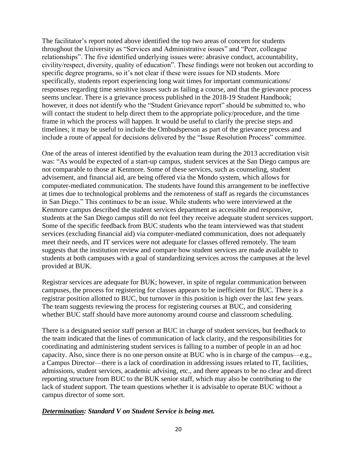The facilitator's report noted above identified the top two areas of concern for students throughout the University as "Services and Administrative issues" and "Peer, colleague relationships". The five identified underlying issues were: abrasive conduct, accountability, civility/respect, diversity, quality of education". These findings were not broken out according to specific degree programs, so it's not clear if these were issues for ND students. More specifically, students report experiencing long wait times for important communications/ responses regarding time sensitive issues such as failing a course, and that the grievance process seems unclear. There is a grievance process published in the 2018-19 Student Handbook; however, it does not identify who the "Student Grievance report" should be submitted to, who will contact the student to help direct them to the appropriate policy/procedure, and the time frame in which the process will happen. It would be useful to clarify the precise steps and timelines; it may be useful to include the Ombudsperson as part of the grievance process and include a route of appeal for decisions delivered by the "Issue Resolution Process" committee.

One of the areas of interest identified by the evaluation team during the 2013 accreditation visit was: "As would be expected of a start-up campus, student services at the San Diego campus are not comparable to those at Kenmore. Some of these services, such as counseling, student advisement, and financial aid, are being offered via the Mondo system, which allows for computer-mediated communication. The students have found this arrangement to be ineffective at times due to technological problems and the remoteness of staff as regards the circumstances in San Diego." This continues to be an issue. While students who were interviewed at the Kenmore campus described the student services department as accessible and responsive, students at the San Diego campus still do not feel they receive adequate student services support. Some of the specific feedback from BUC students who the team interviewed was that student services (excluding financial aid) via computer-mediated communication, does not adequately meet their needs, and IT services were not adequate for classes offered remotely. The team suggests that the institution review and compare how student services are made available to students at both campuses with a goal of standardizing services across the campuses at the level provided at BUK.

Registrar services are adequate for BUK; however, in spite of regular communication between campuses, the process for registering for classes appears to be inefficient for BUC. There is a registrar position allotted to BUC, but turnover in this position is high over the last few years. The team suggests reviewing the process for registering courses at BUC, and considering whether BUC staff should have more autonomy around course and classroom scheduling.

There is a designated senior staff person at BUC in charge of student services, but feedback to the team indicated that the lines of communication of lack clarity, and the responsibilities for coordinating and administering student services is falling to a number of people in an ad hoc capacity. Also, since there is no one person onsite at BUC who is in charge of the campus—e.g., a Campus Director—there is a lack of coordination in addressing issues related to IT, facilities, admissions, student services, academic advising, etc., and there appears to be no clear and direct reporting structure from BUC to the BUK senior staff, which may also be contributing to the lack of student support. The team questions whether it is advisable to operate BUC without a campus director of some sort.

#### *Determination: Standard V on Student Service is being met.*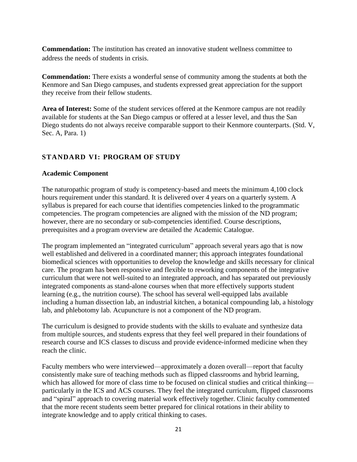**Commendation:** The institution has created an innovative student wellness committee to address the needs of students in crisis.

**Commendation:** There exists a wonderful sense of community among the students at both the Kenmore and San Diego campuses, and students expressed great appreciation for the support they receive from their fellow students.

**Area of Interest:** Some of the student services offered at the Kenmore campus are not readily available for students at the San Diego campus or offered at a lesser level, and thus the San Diego students do not always receive comparable support to their Kenmore counterparts. (Std. V, Sec. A, Para. 1)

# **STANDARD VI: PROGRAM OF STUDY**

#### **Academic Component**

The naturopathic program of study is competency-based and meets the minimum 4,100 clock hours requirement under this standard. It is delivered over 4 years on a quarterly system. A syllabus is prepared for each course that identifies competencies linked to the programmatic competencies. The program competencies are aligned with the mission of the ND program; however, there are no secondary or sub-competencies identified. Course descriptions, prerequisites and a program overview are detailed the Academic Catalogue.

The program implemented an "integrated curriculum" approach several years ago that is now well established and delivered in a coordinated manner; this approach integrates foundational biomedical sciences with opportunities to develop the knowledge and skills necessary for clinical care. The program has been responsive and flexible to reworking components of the integrative curriculum that were not well-suited to an integrated approach, and has separated out previously integrated components as stand-alone courses when that more effectively supports student learning (e.g., the nutrition course). The school has several well-equipped labs available including a human dissection lab, an industrial kitchen, a botanical compounding lab, a histology lab, and phlebotomy lab. Acupuncture is not a component of the ND program.

The curriculum is designed to provide students with the skills to evaluate and synthesize data from multiple sources, and students express that they feel well prepared in their foundations of research course and ICS classes to discuss and provide evidence-informed medicine when they reach the clinic.

Faculty members who were interviewed—approximately a dozen overall—report that faculty consistently make sure of teaching methods such as flipped classrooms and hybrid learning, which has allowed for more of class time to be focused on clinical studies and critical thinking particularly in the ICS and ACS courses. They feel the integrated curriculum, flipped classrooms and "spiral" approach to covering material work effectively together. Clinic faculty commented that the more recent students seem better prepared for clinical rotations in their ability to integrate knowledge and to apply critical thinking to cases.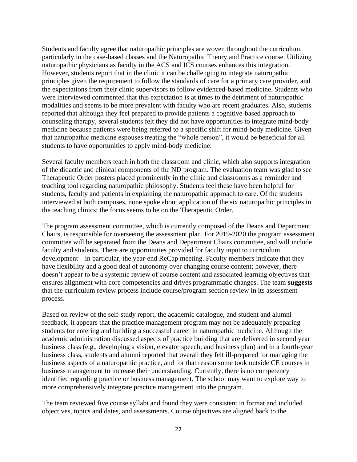Students and faculty agree that naturopathic principles are woven throughout the curriculum, particularly in the case-based classes and the Naturopathic Theory and Practice course. Utilizing naturopathic physicians as faculty in the ACS and ICS courses enhances this integration. However, students report that in the clinic it can be challenging to integrate naturopathic principles given the requirement to follow the standards of care for a primary care provider, and the expectations from their clinic supervisors to follow evidenced-based medicine. Students who were interviewed commented that this expectation is at times to the detriment of naturopathic modalities and seems to be more prevalent with faculty who are recent graduates. Also, students reported that although they feel prepared to provide patients a cognitive-based approach to counseling therapy, several students felt they did not have opportunities to integrate mind-body medicine because patients were being referred to a specific shift for mind-body medicine. Given that naturopathic medicine espouses treating the "whole person", it would be beneficial for all students to have opportunities to apply mind-body medicine.

Several faculty members teach in both the classroom and clinic, which also supports integration of the didactic and clinical components of the ND program. The evaluation team was glad to see Therapeutic Order posters placed prominently in the clinic and classrooms as a reminder and teaching tool regarding naturopathic philosophy. Students feel these have been helpful for students, faculty and patients in explaining the naturopathic approach to care. Of the students interviewed at both campuses, none spoke about application of the six naturopathic principles in the teaching clinics; the focus seems to be on the Therapeutic Order.

The program assessment committee, which is currently composed of the Deans and Department Chairs, is responsible for overseeing the assessment plan. For 2019-2020 the program assessment committee will be separated from the Deans and Department Chairs committee, and will include faculty and students. There are opportunities provided for faculty input to curriculum development—in particular, the year-end ReCap meeting. Faculty members indicate that they have flexibility and a good deal of autonomy over changing course content; however, there doesn't appear to be a systemic review of course content and associated learning objectives that ensures alignment with core competencies and drives programmatic changes. The team **suggests** that the curriculum review process include course/program section review in its assessment process.

Based on review of the self-study report, the academic catalogue, and student and alumni feedback, it appears that the practice management program may not be adequately preparing students for entering and building a successful career in naturopathic medicine. Although the academic administration discussed aspects of practice building that are delivered in second year business class (e.g., developing a vision, elevator speech, and business plan) and in a fourth-year business class, students and alumni reported that overall they felt ill-prepared for managing the business aspects of a naturopathic practice, and for that reason some took outside CE courses in business management to increase their understanding. Currently, there is no competency identified regarding practice or business management. The school may want to explore way to more comprehensively integrate practice management into the program.

The team reviewed five course syllabi and found they were consistent in format and included objectives, topics and dates, and assessments. Course objectives are aligned back to the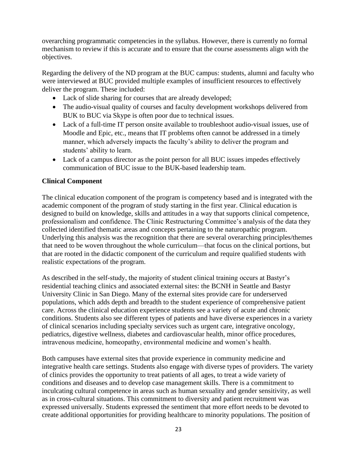overarching programmatic competencies in the syllabus. However, there is currently no formal mechanism to review if this is accurate and to ensure that the course assessments align with the objectives.

Regarding the delivery of the ND program at the BUC campus: students, alumni and faculty who were interviewed at BUC provided multiple examples of insufficient resources to effectively deliver the program. These included:

- Lack of slide sharing for courses that are already developed;
- The audio-visual quality of courses and faculty development workshops delivered from BUK to BUC via Skype is often poor due to technical issues.
- Lack of a full-time IT person onsite available to troubleshoot audio-visual issues, use of Moodle and Epic, etc., means that IT problems often cannot be addressed in a timely manner, which adversely impacts the faculty's ability to deliver the program and students' ability to learn.
- Lack of a campus director as the point person for all BUC issues impedes effectively communication of BUC issue to the BUK-based leadership team.

# **Clinical Component**

The clinical education component of the program is competency based and is integrated with the academic component of the program of study starting in the first year. Clinical education is designed to build on knowledge, skills and attitudes in a way that supports clinical competence, professionalism and confidence. The Clinic Restructuring Committee's analysis of the data they collected identified thematic areas and concepts pertaining to the naturopathic program. Underlying this analysis was the recognition that there are several overarching principles/themes that need to be woven throughout the whole curriculum—that focus on the clinical portions, but that are rooted in the didactic component of the curriculum and require qualified students with realistic expectations of the program.

As described in the self-study, the majority of student clinical training occurs at Bastyr's residential teaching clinics and associated external sites: the BCNH in Seattle and Bastyr University Clinic in San Diego. Many of the external sites provide care for underserved populations, which adds depth and breadth to the student experience of comprehensive patient care. Across the clinical education experience students see a variety of acute and chronic conditions. Students also see different types of patients and have diverse experiences in a variety of clinical scenarios including specialty services such as urgent care, integrative oncology, pediatrics, digestive wellness, diabetes and cardiovascular health, minor office procedures, intravenous medicine, homeopathy, environmental medicine and women's health.

Both campuses have external sites that provide experience in community medicine and integrative health care settings. Students also engage with diverse types of providers. The variety of clinics provides the opportunity to treat patients of all ages, to treat a wide variety of conditions and diseases and to develop case management skills. There is a commitment to inculcating cultural competence in areas such as human sexuality and gender sensitivity, as well as in cross-cultural situations. This commitment to diversity and patient recruitment was expressed universally. Students expressed the sentiment that more effort needs to be devoted to create additional opportunities for providing healthcare to minority populations. The position of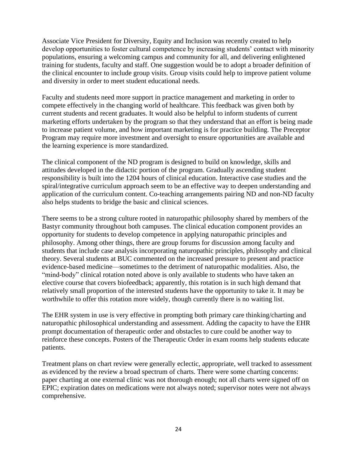Associate Vice President for Diversity, Equity and Inclusion was recently created to help develop opportunities to foster cultural competence by increasing students' contact with minority populations, ensuring a welcoming campus and community for all, and delivering enlightened training for students, faculty and staff. One suggestion would be to adopt a broader definition of the clinical encounter to include group visits. Group visits could help to improve patient volume and diversity in order to meet student educational needs.

Faculty and students need more support in practice management and marketing in order to compete effectively in the changing world of healthcare. This feedback was given both by current students and recent graduates. It would also be helpful to inform students of current marketing efforts undertaken by the program so that they understand that an effort is being made to increase patient volume, and how important marketing is for practice building. The Preceptor Program may require more investment and oversight to ensure opportunities are available and the learning experience is more standardized.

The clinical component of the ND program is designed to build on knowledge, skills and attitudes developed in the didactic portion of the program. Gradually ascending student responsibility is built into the 1204 hours of clinical education. Interactive case studies and the spiral/integrative curriculum approach seem to be an effective way to deepen understanding and application of the curriculum content. Co-teaching arrangements pairing ND and non-ND faculty also helps students to bridge the basic and clinical sciences.

There seems to be a strong culture rooted in naturopathic philosophy shared by members of the Bastyr community throughout both campuses. The clinical education component provides an opportunity for students to develop competence in applying naturopathic principles and philosophy. Among other things, there are group forums for discussion among faculty and students that include case analysis incorporating naturopathic principles, philosophy and clinical theory. Several students at BUC commented on the increased pressure to present and practice evidence-based medicine—sometimes to the detriment of naturopathic modalities. Also, the "mind-body" clinical rotation noted above is only available to students who have taken an elective course that covers biofeedback; apparently, this rotation is in such high demand that relatively small proportion of the interested students have the opportunity to take it. It may be worthwhile to offer this rotation more widely, though currently there is no waiting list.

The EHR system in use is very effective in prompting both primary care thinking/charting and naturopathic philosophical understanding and assessment. Adding the capacity to have the EHR prompt documentation of therapeutic order and obstacles to cure could be another way to reinforce these concepts. Posters of the Therapeutic Order in exam rooms help students educate patients.

Treatment plans on chart review were generally eclectic, appropriate, well tracked to assessment as evidenced by the review a broad spectrum of charts. There were some charting concerns: paper charting at one external clinic was not thorough enough; not all charts were signed off on EPIC; expiration dates on medications were not always noted; supervisor notes were not always comprehensive.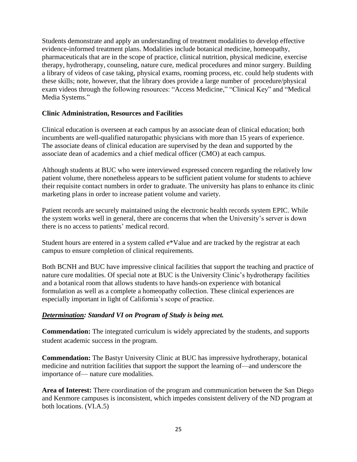Students demonstrate and apply an understanding of treatment modalities to develop effective evidence-informed treatment plans. Modalities include botanical medicine, homeopathy, pharmaceuticals that are in the scope of practice, clinical nutrition, physical medicine, exercise therapy, hydrotherapy, counseling, nature cure, medical procedures and minor surgery. Building a library of videos of case taking, physical exams, rooming process, etc. could help students with these skills; note, however, that the library does provide a large number of procedure/physical exam videos through the following resources: ["Access Medicine,](https://login.buproxy.bastyr.edu/login?url=https://accessmedicine.mhmedical.com/multimedia.aspx#1337)" "Clinical Key" and ["Medical](https://login.buproxy.bastyr.edu/login?url=http://www.medicalmediasystems.com/members.php)  [Media Systems.](https://login.buproxy.bastyr.edu/login?url=http://www.medicalmediasystems.com/members.php)"

#### **Clinic Administration, Resources and Facilities**

Clinical education is overseen at each campus by an associate dean of clinical education; both incumbents are well-qualified naturopathic physicians with more than 15 years of experience. The associate deans of clinical education are supervised by the dean and supported by the associate dean of academics and a chief medical officer (CMO) at each campus.

Although students at BUC who were interviewed expressed concern regarding the relatively low patient volume, there nonetheless appears to be sufficient patient volume for students to achieve their requisite contact numbers in order to graduate. The university has plans to enhance its clinic marketing plans in order to increase patient volume and variety.

Patient records are securely maintained using the electronic health records system EPIC. While the system works well in general, there are concerns that when the University's server is down there is no access to patients' medical record.

Student hours are entered in a system called e\*Value and are tracked by the registrar at each campus to ensure completion of clinical requirements.

Both BCNH and BUC have impressive clinical facilities that support the teaching and practice of nature cure modalities. Of special note at BUC is the University Clinic's hydrotherapy facilities and a botanical room that allows students to have hands-on experience with botanical formulation as well as a complete a homeopathy collection. These clinical experiences are especially important in light of California's scope of practice.

# *Determination: Standard VI on Program of Study is being met.*

**Commendation:** The integrated curriculum is widely appreciated by the students, and supports student academic success in the program.

**Commendation:** The Bastyr University Clinic at BUC has impressive hydrotherapy, botanical medicine and nutrition facilities that support the support the learning of—and underscore the importance of— nature cure modalities.

**Area of Interest:** There coordination of the program and communication between the San Diego and Kenmore campuses is inconsistent, which impedes consistent delivery of the ND program at both locations. (VI.A.5)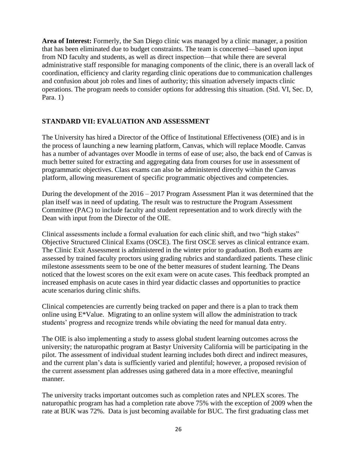**Area of Interest:** Formerly, the San Diego clinic was managed by a clinic manager, a position that has been eliminated due to budget constraints. The team is concerned—based upon input from ND faculty and students, as well as direct inspection—that while there are several administrative staff responsible for managing components of the clinic, there is an overall lack of coordination, efficiency and clarity regarding clinic operations due to communication challenges and confusion about job roles and lines of authority; this situation adversely impacts clinic operations. The program needs to consider options for addressing this situation. (Std. VI, Sec. D, Para. 1)

# **STANDARD VII: EVALUATION AND ASSESSMENT**

The University has hired a Director of the Office of Institutional Effectiveness (OIE) and is in the process of launching a new learning platform, Canvas, which will replace Moodle. Canvas has a number of advantages over Moodle in terms of ease of use; also, the back end of Canvas is much better suited for extracting and aggregating data from courses for use in assessment of programmatic objectives. Class exams can also be administered directly within the Canvas platform, allowing measurement of specific programmatic objectives and competencies.

During the development of the 2016 – 2017 Program Assessment Plan it was determined that the plan itself was in need of updating. The result was to restructure the Program Assessment Committee (PAC) to include faculty and student representation and to work directly with the Dean with input from the Director of the OIE.

Clinical assessments include a formal evaluation for each clinic shift, and two "high stakes" Objective Structured Clinical Exams (OSCE). The first OSCE serves as clinical entrance exam. The Clinic Exit Assessment is administered in the winter prior to graduation. Both exams are assessed by trained faculty proctors using grading rubrics and standardized patients. These clinic milestone assessments seem to be one of the better measures of student learning. The Deans noticed that the lowest scores on the exit exam were on acute cases. This feedback prompted an increased emphasis on acute cases in third year didactic classes and opportunities to practice acute scenarios during clinic shifts.

Clinical competencies are currently being tracked on paper and there is a plan to track them online using E\*Value. Migrating to an online system will allow the administration to track students' progress and recognize trends while obviating the need for manual data entry.

The OIE is also implementing a study to assess global student learning outcomes across the university; the naturopathic program at Bastyr University California will be participating in the pilot. The assessment of individual student learning includes both direct and indirect measures, and the current plan's data is sufficiently varied and plentiful; however, a proposed revision of the current assessment plan addresses using gathered data in a more effective, meaningful manner.

The university tracks important outcomes such as completion rates and NPLEX scores. The naturopathic program has had a completion rate above 75% with the exception of 2009 when the rate at BUK was 72%. Data is just becoming available for BUC. The first graduating class met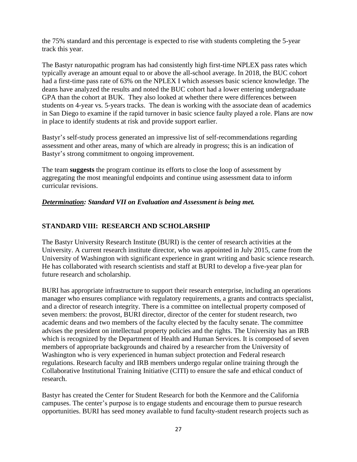the 75% standard and this percentage is expected to rise with students completing the 5-year track this year.

The Bastyr naturopathic program has had consistently high first-time NPLEX pass rates which typically average an amount equal to or above the all-school average. In 2018, the BUC cohort had a first-time pass rate of 63% on the NPLEX I which assesses basic science knowledge. The deans have analyzed the results and noted the BUC cohort had a lower entering undergraduate GPA than the cohort at BUK. They also looked at whether there were differences between students on 4-year vs. 5-years tracks. The dean is working with the associate dean of academics in San Diego to examine if the rapid turnover in basic science faulty played a role. Plans are now in place to identify students at risk and provide support earlier.

Bastyr's self-study process generated an impressive list of self-recommendations regarding assessment and other areas, many of which are already in progress; this is an indication of Bastyr's strong commitment to ongoing improvement.

The team **suggests** the program continue its efforts to close the loop of assessment by aggregating the most meaningful endpoints and continue using assessment data to inform curricular revisions.

# *Determination: Standard VII on Evaluation and Assessment is being met.*

#### **STANDARD VIII: RESEARCH AND SCHOLARSHIP**

The Bastyr University Research Institute (BURI) is the center of research activities at the University. A current research institute director, who was appointed in July 2015, came from the University of Washington with significant experience in grant writing and basic science research. He has collaborated with research scientists and staff at BURI to develop a five-year plan for future research and scholarship.

BURI has appropriate infrastructure to support their research enterprise, including an operations manager who ensures compliance with regulatory requirements, a grants and contracts specialist, and a director of research integrity. There is a committee on intellectual property composed of seven members: the provost, BURI director, director of the center for student research, two academic deans and two members of the faculty elected by the faculty senate. The committee advises the president on intellectual property policies and the rights. The University has an IRB which is recognized by the Department of Health and Human Services. It is composed of seven members of appropriate backgrounds and chaired by a researcher from the University of Washington who is very experienced in human subject protection and Federal research regulations. Research faculty and IRB members undergo regular online training through the Collaborative Institutional Training Initiative (CITI) to ensure the safe and ethical conduct of research.

Bastyr has created the Center for Student Research for both the Kenmore and the California campuses. The center's purpose is to engage students and encourage them to pursue research opportunities. BURI has seed money available to fund faculty-student research projects such as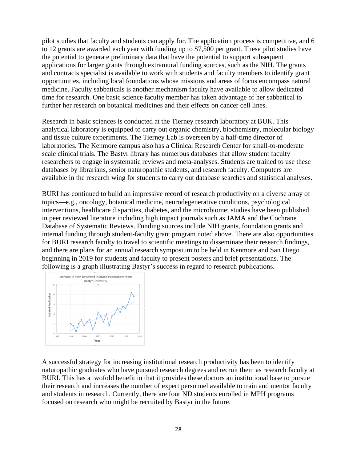pilot studies that faculty and students can apply for. The application process is competitive, and 6 to 12 grants are awarded each year with funding up to \$7,500 per grant. These pilot studies have the potential to generate preliminary data that have the potential to support subsequent applications for larger grants through extramural funding sources, such as the NIH. The grants and contracts specialist is available to work with students and faculty members to identify grant opportunities, including local foundations whose missions and areas of focus encompass natural medicine. Faculty sabbaticals is another mechanism faculty have available to allow dedicated time for research. One basic science faculty member has taken advantage of her sabbatical to further her research on botanical medicines and their effects on cancer cell lines.

Research in basic sciences is conducted at the Tierney research laboratory at BUK. This analytical laboratory is equipped to carry out organic chemistry, biochemistry, molecular biology and tissue culture experiments. The Tierney Lab is overseen by a half-time director of laboratories. The Kenmore campus also has a Clinical Research Center for small-to-moderate scale clinical trials. The Bastyr library has numerous databases that allow student faculty researchers to engage in systematic reviews and meta-analyses. Students are trained to use these databases by librarians, senior naturopathic students, and research faculty. Computers are available in the research wing for students to carry out database searches and statistical analyses.

BURI has continued to build an impressive record of research productivity on a diverse array of topics—e.g., oncology, botanical medicine, neurodegenerative conditions, psychological interventions, healthcare disparities, diabetes, and the microbiome; studies have been published in peer reviewed literature including high impact journals such as JAMA and the Cochrane Database of Systematic Reviews. Funding sources include NIH grants, foundation grants and internal funding through student-faculty grant program noted above. There are also opportunities for BURI research faculty to travel to scientific meetings to disseminate their research findings, and there are plans for an annual research symposium to be held in Kenmore and San Diego beginning in 2019 for students and faculty to present posters and brief presentations. The following is a graph illustrating Bastyr's success in regard to research publications.



A successful strategy for increasing institutional research productivity has been to identify naturopathic graduates who have pursued research degrees and recruit them as research faculty at BURI. This has a twofold benefit in that it provides these doctors an institutional base to pursue their research and increases the number of expert personnel available to train and mentor faculty and students in research. Currently, there are four ND students enrolled in MPH programs focused on research who might be recruited by Bastyr in the future.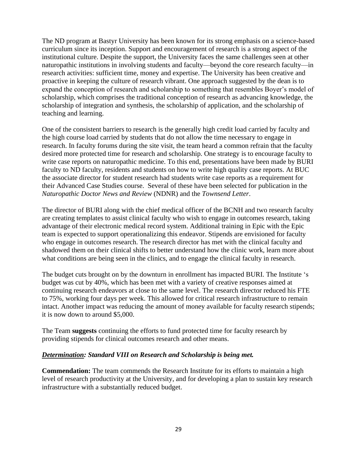The ND program at Bastyr University has been known for its strong emphasis on a science-based curriculum since its inception. Support and encouragement of research is a strong aspect of the institutional culture. Despite the support, the University faces the same challenges seen at other naturopathic institutions in involving students and faculty—beyond the core research faculty—in research activities: sufficient time, money and expertise. The University has been creative and proactive in keeping the culture of research vibrant. One approach suggested by the dean is to expand the conception of research and scholarship to something that resembles Boyer's model of scholarship, which comprises the traditional conception of research as advancing knowledge, the scholarship of integration and synthesis, the scholarship of application, and the scholarship of teaching and learning.

One of the consistent barriers to research is the generally high credit load carried by faculty and the high course load carried by students that do not allow the time necessary to engage in research. In faculty forums during the site visit, the team heard a common refrain that the faculty desired more protected time for research and scholarship. One strategy is to encourage faculty to write case reports on naturopathic medicine. To this end, presentations have been made by BURI faculty to ND faculty, residents and students on how to write high quality case reports. At BUC the associate director for student research had students write case reports as a requirement for their Advanced Case Studies course. Several of these have been selected for publication in the *Naturopathic Doctor News and Review* (NDNR) and the *Townsend Letter*.

The director of BURI along with the chief medical officer of the BCNH and two research faculty are creating templates to assist clinical faculty who wish to engage in outcomes research, taking advantage of their electronic medical record system. Additional training in Epic with the Epic team is expected to support operationalizing this endeavor. Stipends are envisioned for faculty who engage in outcomes research. The research director has met with the clinical faculty and shadowed them on their clinical shifts to better understand how the clinic work, learn more about what conditions are being seen in the clinics, and to engage the clinical faculty in research.

The budget cuts brought on by the downturn in enrollment has impacted BURI. The Institute 's budget was cut by 40%, which has been met with a variety of creative responses aimed at continuing research endeavors at close to the same level. The research director reduced his FTE to 75%, working four days per week. This allowed for critical research infrastructure to remain intact. Another impact was reducing the amount of money available for faculty research stipends; it is now down to around \$5,000.

The Team **suggests** continuing the efforts to fund protected time for faculty research by providing stipends for clinical outcomes research and other means.

# *Determination: Standard VIII on Research and Scholarship is being met.*

**Commendation:** The team commends the Research Institute for its efforts to maintain a high level of research productivity at the University, and for developing a plan to sustain key research infrastructure with a substantially reduced budget.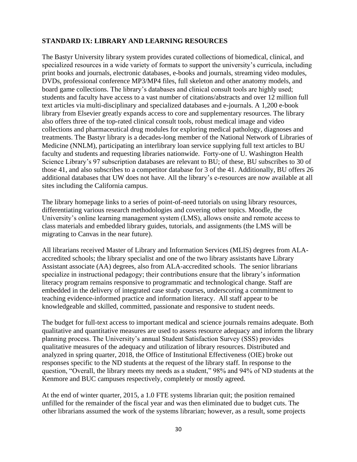# **STANDARD IX: LIBRARY AND LEARNING RESOURCES**

The Bastyr University library system provides curated collections of biomedical, clinical, and specialized resources in a wide variety of formats to support the university's curricula, including print books and journals, electronic databases, e-books and journals, streaming video modules, DVDs, professional conference MP3/MP4 files, full skeleton and other anatomy models, and board game collections. The library's databases and clinical consult tools are highly used; students and faculty have access to a vast number of citations/abstracts and over 12 million full text articles via multi-disciplinary and specialized databases and e-journals. A 1,200 e-book library from Elsevier greatly expands access to core and supplementary resources. The library also offers three of the top-rated clinical consult tools, robust medical image and video collections and pharmaceutical drug modules for exploring medical pathology, diagnoses and treatments. The Bastyr library is a decades-long member of the National Network of Libraries of Medicine (NNLM), participating an interlibrary loan service supplying full text articles to BU faculty and students and requesting libraries nationwide. Forty-one of U. Washington Health Science Library's 97 subscription databases are relevant to BU; of these, BU subscribes to 30 of those 41, and also subscribes to a competitor database for 3 of the 41. Additionally, BU offers 26 additional databases that UW does not have. All the library's e-resources are now available at all sites including the California campus.

The library homepage links to a series of point-of-need tutorials on using library resources, differentiating various research methodologies and covering other topics. Moodle, the University's online learning management system (LMS), allows onsite and remote access to class materials and embedded library guides, tutorials, and assignments (the LMS will be migrating to Canvas in the near future).

All librarians received Master of Library and Information Services (MLIS) degrees from ALAaccredited schools; the library specialist and one of the two library assistants have Library Assistant associate (AA) degrees, also from ALA-accredited schools. The senior librarians specialize in instructional pedagogy; their contributions ensure that the library's information literacy program remains responsive to programmatic and technological change. Staff are embedded in the delivery of integrated case study courses, underscoring a commitment to teaching evidence-informed practice and information literacy. All staff appear to be knowledgeable and skilled, committed, passionate and responsive to student needs.

The budget for full-text access to important medical and science journals remains adequate. Both qualitative and quantitative measures are used to assess resource adequacy and inform the library planning process. The University's annual Student Satisfaction Survey (SSS) provides qualitative measures of the adequacy and utilization of library resources. Distributed and analyzed in spring quarter, 2018, the Office of Institutional Effectiveness (OIE) broke out responses specific to the ND students at the request of the library staff. In response to the question, "Overall, the library meets my needs as a student," 98% and 94% of ND students at the Kenmore and BUC campuses respectively, completely or mostly agreed.

At the end of winter quarter, 2015, a 1.0 FTE systems librarian quit; the position remained unfilled for the remainder of the fiscal year and was then eliminated due to budget cuts. The other librarians assumed the work of the systems librarian; however, as a result, some projects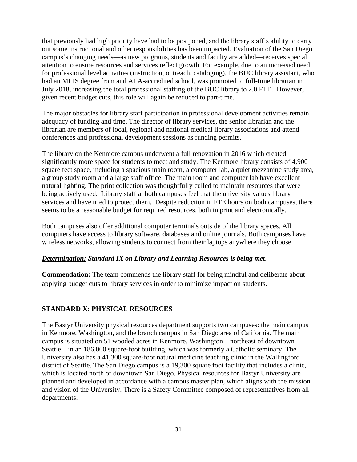that previously had high priority have had to be postponed, and the library staff's ability to carry out some instructional and other responsibilities has been impacted. Evaluation of the San Diego campus's changing needs—as new programs, students and faculty are added—receives special attention to ensure resources and services reflect growth. For example, due to an increased need for professional level activities (instruction, outreach, cataloging), the BUC library assistant, who had an MLIS degree from and ALA-accredited school, was promoted to full-time librarian in July 2018, increasing the total professional staffing of the BUC library to 2.0 FTE. However, given recent budget cuts, this role will again be reduced to part-time.

The major obstacles for library staff participation in professional development activities remain adequacy of funding and time. The director of library services, the senior librarian and the librarian are members of local, regional and national medical library associations and attend conferences and professional development sessions as funding permits.

The library on the Kenmore campus underwent a full renovation in 2016 which created significantly more space for students to meet and study. The Kenmore library consists of 4,900 square feet space, including a spacious main room, a computer lab, a quiet mezzanine study area, a group study room and a large staff office. The main room and computer lab have excellent natural lighting. The print collection was thoughtfully culled to maintain resources that were being actively used. Library staff at both campuses feel that the university values library services and have tried to protect them. Despite reduction in FTE hours on both campuses, there seems to be a reasonable budget for required resources, both in print and electronically.

Both campuses also offer additional computer terminals outside of the library spaces. All computers have access to library software, databases and online journals. Both campuses have wireless networks, allowing students to connect from their laptops anywhere they choose.

# *Determination: Standard IX on Library and Learning Resources is being met.*

**Commendation:** The team commends the library staff for being mindful and deliberate about applying budget cuts to library services in order to minimize impact on students.

# **STANDARD X: PHYSICAL RESOURCES**

The Bastyr University physical resources department supports two campuses: the main campus in Kenmore, Washington, and the branch campus in San Diego area of California. The main campus is situated on 51 wooded acres in Kenmore, Washington—northeast of downtown Seattle—in an 186,000 square-foot building, which was formerly a Catholic seminary. The University also has a 41,300 square-foot natural medicine teaching clinic in the Wallingford district of Seattle. The San Diego campus is a 19,300 square foot facility that includes a clinic, which is located north of downtown San Diego. Physical resources for Bastyr University are planned and developed in accordance with a campus master plan, which aligns with the mission and vision of the University. There is a Safety Committee composed of representatives from all departments.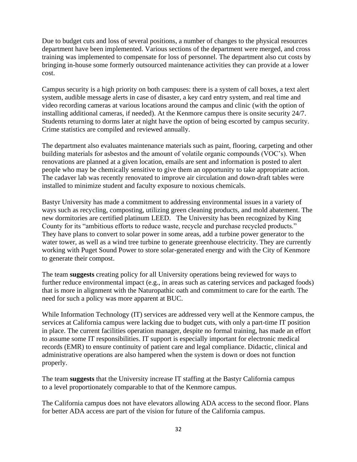Due to budget cuts and loss of several positions, a number of changes to the physical resources department have been implemented. Various sections of the department were merged, and cross training was implemented to compensate for loss of personnel. The department also cut costs by bringing in-house some formerly outsourced maintenance activities they can provide at a lower cost.

Campus security is a high priority on both campuses: there is a system of call boxes, a text alert system, audible message alerts in case of disaster, a key card entry system, and real time and video recording cameras at various locations around the campus and clinic (with the option of installing additional cameras, if needed). At the Kenmore campus there is onsite security 24/7. Students returning to dorms later at night have the option of being escorted by campus security. Crime statistics are compiled and reviewed annually.

The department also evaluates maintenance materials such as paint, flooring, carpeting and other building materials for asbestos and the amount of volatile organic compounds (VOC's). When renovations are planned at a given location, emails are sent and information is posted to alert people who may be chemically sensitive to give them an opportunity to take appropriate action. The cadaver lab was recently renovated to improve air circulation and down-draft tables were installed to minimize student and faculty exposure to noxious chemicals.

Bastyr University has made a commitment to addressing environmental issues in a variety of ways such as recycling, composting, utilizing green cleaning products, and mold abatement. The new dormitories are certified platinum LEED. The University has been recognized by King County for its "ambitious efforts to reduce waste, recycle and purchase recycled products." They have plans to convert to solar power in some areas, add a turbine power generator to the water tower, as well as a wind tree turbine to generate greenhouse electricity. They are currently working with Puget Sound Power to store solar-generated energy and with the City of Kenmore to generate their compost.

The team **suggests** creating policy for all University operations being reviewed for ways to further reduce environmental impact (e.g., in areas such as catering services and packaged foods) that is more in alignment with the Naturopathic oath and commitment to care for the earth. The need for such a policy was more apparent at BUC.

While Information Technology (IT) services are addressed very well at the Kenmore campus, the services at California campus were lacking due to budget cuts, with only a part-time IT position in place. The current facilities operation manager, despite no formal training, has made an effort to assume some IT responsibilities. IT support is especially important for electronic medical records (EMR) to ensure continuity of patient care and legal compliance. Didactic, clinical and administrative operations are also hampered when the system is down or does not function properly.

The team **suggests** that the University increase IT staffing at the Bastyr California campus to a level proportionately comparable to that of the Kenmore campus.

The California campus does not have elevators allowing ADA access to the second floor. Plans for better ADA access are part of the vision for future of the California campus.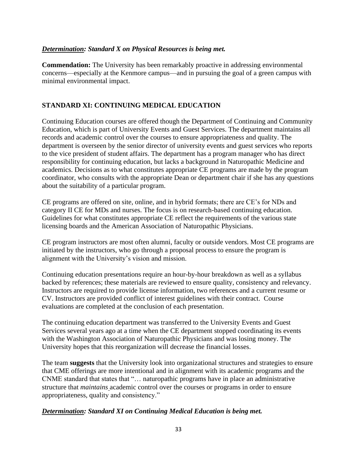#### *Determination: Standard X on Physical Resources is being met.*

**Commendation:** The University has been remarkably proactive in addressing environmental concerns—especially at the Kenmore campus—and in pursuing the goal of a green campus with minimal environmental impact.

# **STANDARD XI: CONTINUING MEDICAL EDUCATION**

Continuing Education courses are offered though the Department of Continuing and Community Education, which is part of University Events and Guest Services. The department maintains all records and academic control over the courses to ensure appropriateness and quality. The department is overseen by the senior director of university events and guest services who reports to the vice president of student affairs. The department has a program manager who has direct responsibility for continuing education, but lacks a background in Naturopathic Medicine and academics. Decisions as to what constitutes appropriate CE programs are made by the program coordinator, who consults with the appropriate Dean or department chair if she has any questions about the suitability of a particular program.

CE programs are offered on site, online, and in hybrid formats; there are CE's for NDs and category II CE for MDs and nurses. The focus is on research-based continuing education. Guidelines for what constitutes appropriate CE reflect the requirements of the various state licensing boards and the American Association of Naturopathic Physicians.

CE program instructors are most often alumni, faculty or outside vendors. Most CE programs are initiated by the instructors, who go through a proposal process to ensure the program is alignment with the University's vision and mission.

Continuing education presentations require an hour-by-hour breakdown as well as a syllabus backed by references; these materials are reviewed to ensure quality, consistency and relevancy. Instructors are required to provide license information, two references and a current resume or CV. Instructors are provided conflict of interest guidelines with their contract. Course evaluations are completed at the conclusion of each presentation.

The continuing education department was transferred to the University Events and Guest Services several years ago at a time when the CE department stopped coordinating its events with the Washington Association of Naturopathic Physicians and was losing money. The University hopes that this reorganization will decrease the financial losses.

The team **suggests** that the University look into organizational structures and strategies to ensure that CME offerings are more intentional and in alignment with its academic programs and the CNME standard that states that "… naturopathic programs have in place an administrative structure that *maintains* academic control over the courses or programs in order to ensure appropriateness, quality and consistency."

#### *Determination: Standard XI on Continuing Medical Education is being met.*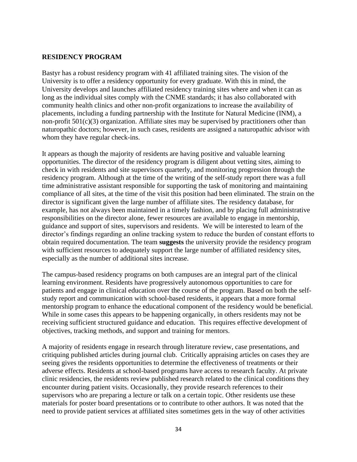#### **RESIDENCY PROGRAM**

Bastyr has a robust residency program with 41 affiliated training sites. The vision of the University is to offer a residency opportunity for every graduate. With this in mind, the University develops and launches affiliated residency training sites where and when it can as long as the individual sites comply with the CNME standards; it has also collaborated with community health clinics and other non-profit organizations to increase the availability of placements, including a funding partnership with the Institute for Natural Medicine (INM), a non-profit  $501(c)(3)$  organization. Affiliate sites may be supervised by practitioners other than naturopathic doctors; however, in such cases, residents are assigned a naturopathic advisor with whom they have regular check-ins.

It appears as though the majority of residents are having positive and valuable learning opportunities. The director of the residency program is diligent about vetting sites, aiming to check in with residents and site supervisors quarterly, and monitoring progression through the residency program. Although at the time of the writing of the self-study report there was a full time administrative assistant responsible for supporting the task of monitoring and maintaining compliance of all sites, at the time of the visit this position had been eliminated. The strain on the director is significant given the large number of affiliate sites. The residency database, for example, has not always been maintained in a timely fashion, and by placing full administrative responsibilities on the director alone, fewer resources are available to engage in mentorship, guidance and support of sites, supervisors and residents. We will be interested to learn of the director's findings regarding an online tracking system to reduce the burden of constant efforts to obtain required documentation. The team **suggests** the university provide the residency program with sufficient resources to adequately support the large number of affiliated residency sites, especially as the number of additional sites increase.

The campus-based residency programs on both campuses are an integral part of the clinical learning environment. Residents have progressively autonomous opportunities to care for patients and engage in clinical education over the course of the program. Based on both the selfstudy report and communication with school-based residents, it appears that a more formal mentorship program to enhance the educational component of the residency would be beneficial. While in some cases this appears to be happening organically, in others residents may not be receiving sufficient structured guidance and education. This requires effective development of objectives, tracking methods, and support and training for mentors.

A majority of residents engage in research through literature review, case presentations, and critiquing published articles during journal club. Critically appraising articles on cases they are seeing gives the residents opportunities to determine the effectiveness of treatments or their adverse effects. Residents at school-based programs have access to research faculty. At private clinic residencies, the residents review published research related to the clinical conditions they encounter during patient visits. Occasionally, they provide research references to their supervisors who are preparing a lecture or talk on a certain topic. Other residents use these materials for poster board presentations or to contribute to other authors. It was noted that the need to provide patient services at affiliated sites sometimes gets in the way of other activities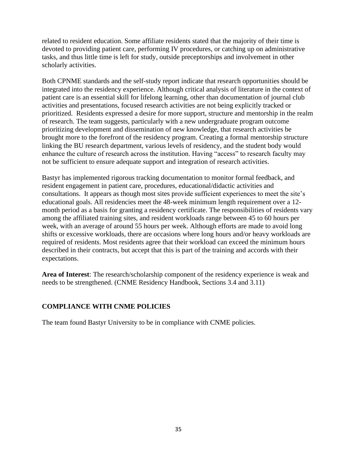related to resident education. Some affiliate residents stated that the majority of their time is devoted to providing patient care, performing IV procedures, or catching up on administrative tasks, and thus little time is left for study, outside preceptorships and involvement in other scholarly activities.

Both CPNME standards and the self-study report indicate that research opportunities should be integrated into the residency experience. Although critical analysis of literature in the context of patient care is an essential skill for lifelong learning, other than documentation of journal club activities and presentations, focused research activities are not being explicitly tracked or prioritized. Residents expressed a desire for more support, structure and mentorship in the realm of research. The team suggests, particularly with a new undergraduate program outcome prioritizing development and dissemination of new knowledge, that research activities be brought more to the forefront of the residency program. Creating a formal mentorship structure linking the BU research department, various levels of residency, and the student body would enhance the culture of research across the institution. Having "access" to research faculty may not be sufficient to ensure adequate support and integration of research activities.

Bastyr has implemented rigorous tracking documentation to monitor formal feedback, and resident engagement in patient care, procedures, educational/didactic activities and consultations. It appears as though most sites provide sufficient experiences to meet the site's educational goals. All residencies meet the 48-week minimum length requirement over a 12 month period as a basis for granting a residency certificate. The responsibilities of residents vary among the affiliated training sites, and resident workloads range between 45 to 60 hours per week, with an average of around 55 hours per week. Although efforts are made to avoid long shifts or excessive workloads, there are occasions where long hours and/or heavy workloads are required of residents. Most residents agree that their workload can exceed the minimum hours described in their contracts, but accept that this is part of the training and accords with their expectations.

**Area of Interest**: The research/scholarship component of the residency experience is weak and needs to be strengthened. (CNME Residency Handbook, Sections 3.4 and 3.11)

# **COMPLIANCE WITH CNME POLICIES**

The team found Bastyr University to be in compliance with CNME policies.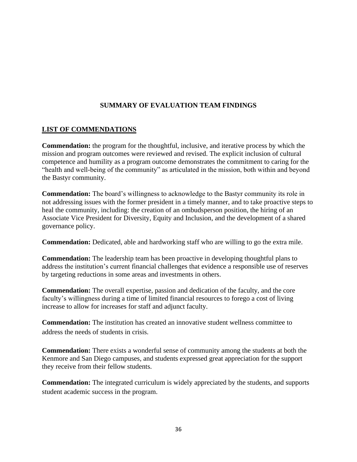# **SUMMARY OF EVALUATION TEAM FINDINGS**

# **LIST OF COMMENDATIONS**

**Commendation:** the program for the thoughtful, inclusive, and iterative process by which the mission and program outcomes were reviewed and revised. The explicit inclusion of cultural competence and humility as a program outcome demonstrates the commitment to caring for the "health and well-being of the community" as articulated in the mission, both within and beyond the Bastyr community.

**Commendation:** The board's willingness to acknowledge to the Bastyr community its role in not addressing issues with the former president in a timely manner, and to take proactive steps to heal the community, including: the creation of an ombudsperson position, the hiring of an Associate Vice President for Diversity, Equity and Inclusion, and the development of a shared governance policy.

**Commendation:** Dedicated, able and hardworking staff who are willing to go the extra mile.

**Commendation:** The leadership team has been proactive in developing thoughtful plans to address the institution's current financial challenges that evidence a responsible use of reserves by targeting reductions in some areas and investments in others.

**Commendation:** The overall expertise, passion and dedication of the faculty, and the core faculty's willingness during a time of limited financial resources to forego a cost of living increase to allow for increases for staff and adjunct faculty.

**Commendation:** The institution has created an innovative student wellness committee to address the needs of students in crisis.

**Commendation:** There exists a wonderful sense of community among the students at both the Kenmore and San Diego campuses, and students expressed great appreciation for the support they receive from their fellow students.

**Commendation:** The integrated curriculum is widely appreciated by the students, and supports student academic success in the program.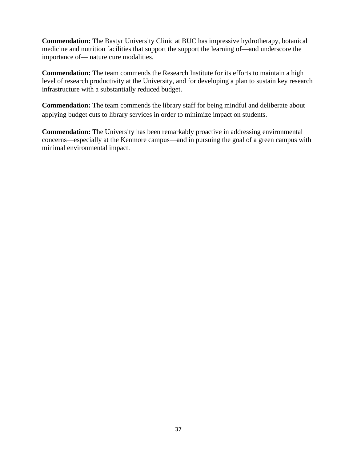**Commendation:** The Bastyr University Clinic at BUC has impressive hydrotherapy, botanical medicine and nutrition facilities that support the support the learning of—and underscore the importance of— nature cure modalities.

**Commendation:** The team commends the Research Institute for its efforts to maintain a high level of research productivity at the University, and for developing a plan to sustain key research infrastructure with a substantially reduced budget.

**Commendation:** The team commends the library staff for being mindful and deliberate about applying budget cuts to library services in order to minimize impact on students.

**Commendation:** The University has been remarkably proactive in addressing environmental concerns—especially at the Kenmore campus—and in pursuing the goal of a green campus with minimal environmental impact.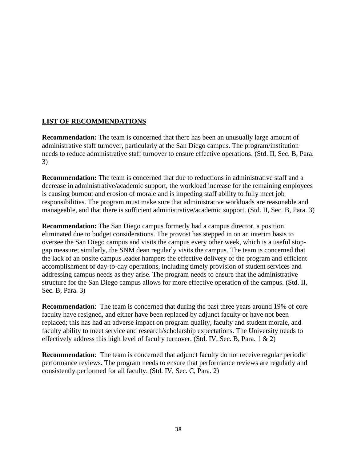# **LIST OF RECOMMENDATIONS**

**Recommendation:** The team is concerned that there has been an unusually large amount of administrative staff turnover, particularly at the San Diego campus. The program/institution needs to reduce administrative staff turnover to ensure effective operations. (Std. II, Sec. B, Para. 3)

**Recommendation:** The team is concerned that due to reductions in administrative staff and a decrease in administrative/academic support, the workload increase for the remaining employees is causing burnout and erosion of morale and is impeding staff ability to fully meet job responsibilities. The program must make sure that administrative workloads are reasonable and manageable, and that there is sufficient administrative/academic support. (Std. II, Sec. B, Para. 3)

**Recommendation:** The San Diego campus formerly had a campus director, a position eliminated due to budget considerations. The provost has stepped in on an interim basis to oversee the San Diego campus and visits the campus every other week, which is a useful stopgap measure; similarly, the SNM dean regularly visits the campus. The team is concerned that the lack of an onsite campus leader hampers the effective delivery of the program and efficient accomplishment of day-to-day operations, including timely provision of student services and addressing campus needs as they arise. The program needs to ensure that the administrative structure for the San Diego campus allows for more effective operation of the campus. (Std. II, Sec. B, Para. 3)

**Recommendation**: The team is concerned that during the past three years around 19% of core faculty have resigned, and either have been replaced by adjunct faculty or have not been replaced; this has had an adverse impact on program quality, faculty and student morale, and faculty ability to meet service and research/scholarship expectations. The University needs to effectively address this high level of faculty turnover. (Std. IV, Sec. B, Para. 1 & 2)

**Recommendation**: The team is concerned that adjunct faculty do not receive regular periodic performance reviews. The program needs to ensure that performance reviews are regularly and consistently performed for all faculty. (Std. IV, Sec. C, Para. 2)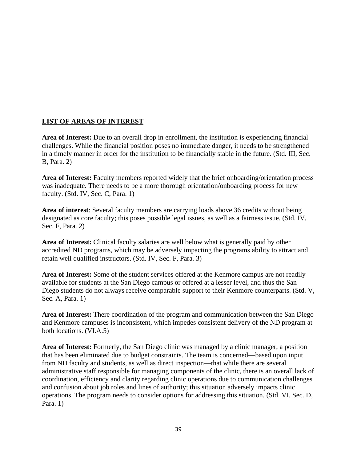# **LIST OF AREAS OF INTEREST**

**Area of Interest:** Due to an overall drop in enrollment, the institution is experiencing financial challenges. While the financial position poses no immediate danger, it needs to be strengthened in a timely manner in order for the institution to be financially stable in the future. (Std. III, Sec. B, Para. 2)

**Area of Interest:** Faculty members reported widely that the brief onboarding/orientation process was inadequate. There needs to be a more thorough orientation/onboarding process for new faculty. (Std. IV, Sec. C, Para. 1)

**Area of interest**: Several faculty members are carrying loads above 36 credits without being designated as core faculty; this poses possible legal issues, as well as a fairness issue. (Std. IV, Sec. F, Para. 2)

**Area of Interest:** Clinical faculty salaries are well below what is generally paid by other accredited ND programs, which may be adversely impacting the programs ability to attract and retain well qualified instructors. (Std. IV, Sec. F, Para. 3)

**Area of Interest:** Some of the student services offered at the Kenmore campus are not readily available for students at the San Diego campus or offered at a lesser level, and thus the San Diego students do not always receive comparable support to their Kenmore counterparts. (Std. V, Sec. A, Para. 1)

**Area of Interest:** There coordination of the program and communication between the San Diego and Kenmore campuses is inconsistent, which impedes consistent delivery of the ND program at both locations. (VI.A.5)

**Area of Interest:** Formerly, the San Diego clinic was managed by a clinic manager, a position that has been eliminated due to budget constraints. The team is concerned—based upon input from ND faculty and students, as well as direct inspection—that while there are several administrative staff responsible for managing components of the clinic, there is an overall lack of coordination, efficiency and clarity regarding clinic operations due to communication challenges and confusion about job roles and lines of authority; this situation adversely impacts clinic operations. The program needs to consider options for addressing this situation. (Std. VI, Sec. D, Para. 1)